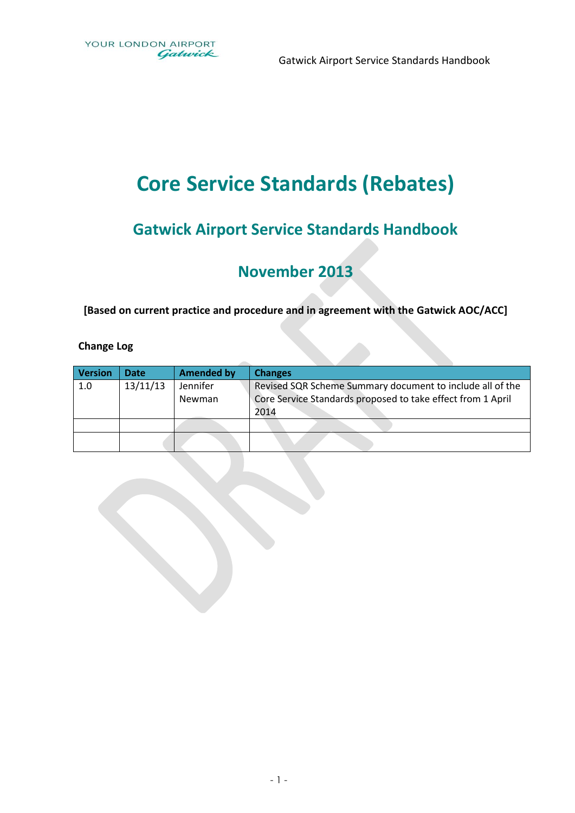Gatwick Airport Service Standards Handbook

# **Core Service Standards (Rebates)**

## **Gatwick Airport Service Standards Handbook**

## **November 2013**

**[Based on current practice and procedure and in agreement with the Gatwick AOC/ACC]**

#### **Change Log**

| <b>Version</b> | Date     | <b>Amended by</b> | <b>Changes</b>                                                      |
|----------------|----------|-------------------|---------------------------------------------------------------------|
| 1.0            | 13/11/13 | Jennifer          | Revised SQR Scheme Summary document to include all of the           |
|                |          | Newman            | Core Service Standards proposed to take effect from 1 April<br>2014 |
|                |          |                   |                                                                     |
|                |          |                   |                                                                     |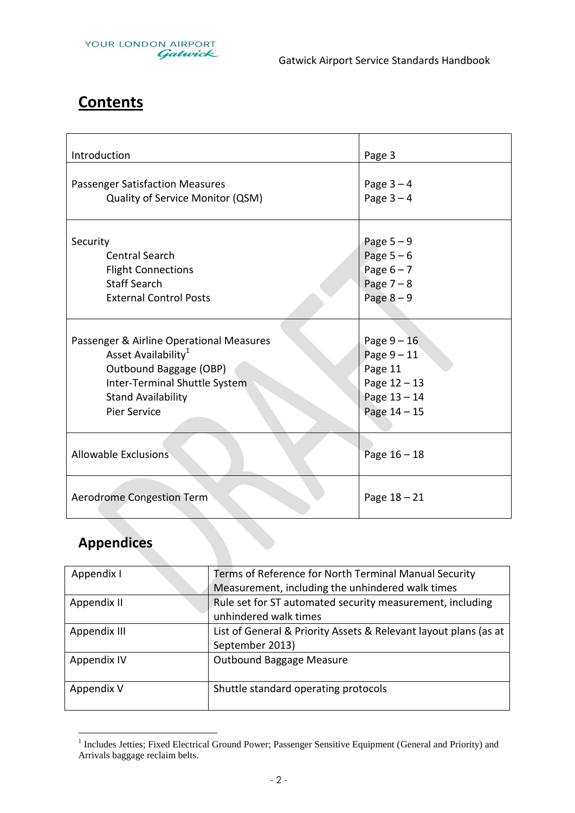

## **Contents**

| Introduction                             | Page 3       |
|------------------------------------------|--------------|
| <b>Passenger Satisfaction Measures</b>   | Page $3-4$   |
| Quality of Service Monitor (QSM)         | Page $3-4$   |
| Security                                 | Page $5-9$   |
| <b>Central Search</b>                    | Page $5-6$   |
| <b>Flight Connections</b>                | Page $6 - 7$ |
| <b>Staff Search</b>                      | Page $7 - 8$ |
| <b>External Control Posts</b>            | Page $8-9$   |
| Passenger & Airline Operational Measures | Page $9-16$  |
| Asset Availability <sup>1</sup>          | Page $9-11$  |
| Outbound Baggage (OBP)                   | Page 11      |
| Inter-Terminal Shuttle System            | Page 12-13   |
| <b>Stand Availability</b>                | Page 13-14   |
| <b>Pier Service</b>                      | Page 14 - 15 |
| <b>Allowable Exclusions</b>              | Page 16 - 18 |
| Aerodrome Congestion Term                | Page 18 - 21 |

## **Appendices**

| Appendix I   | Terms of Reference for North Terminal Manual Security            |
|--------------|------------------------------------------------------------------|
|              | Measurement, including the unhindered walk times                 |
| Appendix II  | Rule set for ST automated security measurement, including        |
|              | unhindered walk times                                            |
| Appendix III | List of General & Priority Assets & Relevant layout plans (as at |
|              | September 2013)                                                  |
| Appendix IV  | Outbound Baggage Measure                                         |
|              |                                                                  |
| Appendix V   | Shuttle standard operating protocols                             |
|              |                                                                  |

<sup>1&</sup>lt;br>Includes Jetties; Fixed Electrical Ground Power; Passenger Sensitive Equipment (General and Priority) and Arrivals baggage reclaim belts.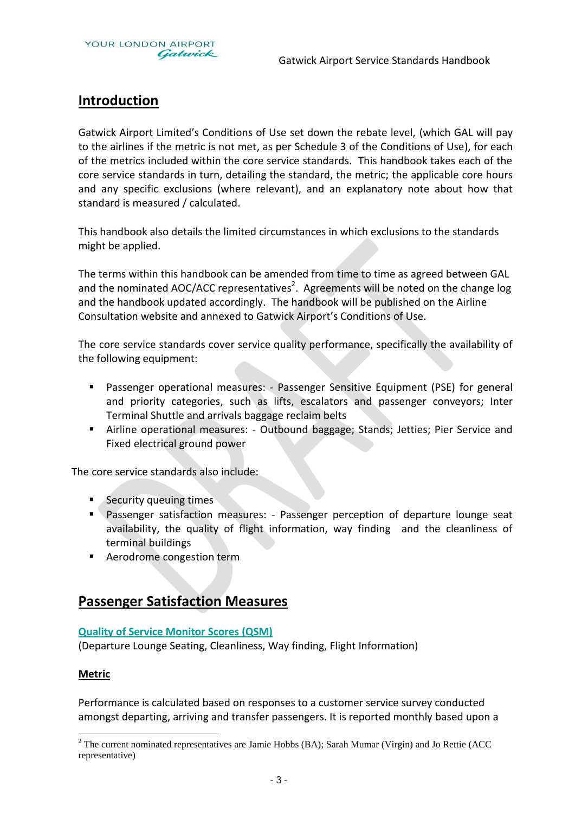

## **Introduction**

Gatwick Airport Limited's Conditions of Use set down the rebate level, (which GAL will pay to the airlines if the metric is not met, as per Schedule 3 of the Conditions of Use), for each of the metrics included within the core service standards. This handbook takes each of the core service standards in turn, detailing the standard, the metric; the applicable core hours and any specific exclusions (where relevant), and an explanatory note about how that standard is measured / calculated.

This handbook also details the limited circumstances in which exclusions to the standards might be applied.

The terms within this handbook can be amended from time to time as agreed between GAL and the nominated AOC/ACC representatives<sup>2</sup>. Agreements will be noted on the change log and the handbook updated accordingly. The handbook will be published on the Airline Consultation website and annexed to Gatwick Airport's Conditions of Use.

The core service standards cover service quality performance, specifically the availability of the following equipment:

- Passenger operational measures: Passenger Sensitive Equipment (PSE) for general and priority categories, such as lifts, escalators and passenger conveyors; Inter Terminal Shuttle and arrivals baggage reclaim belts
- Airline operational measures: Outbound baggage; Stands; Jetties; Pier Service and Fixed electrical ground power

The core service standards also include:

- Security queuing times
- **Passenger satisfaction measures: Passenger perception of departure lounge seat** availability, the quality of flight information, way finding and the cleanliness of terminal buildings
- **Aerodrome congestion term**

## **Passenger Satisfaction Measures**

#### **Quality of Service Monitor Scores (QSM)**

(Departure Lounge Seating, Cleanliness, Way finding, Flight Information)

#### **Metric**

 $\overline{a}$ 

Performance is calculated based on responses to a customer service survey conducted amongst departing, arriving and transfer passengers. It is reported monthly based upon a

 $2$  The current nominated representatives are Jamie Hobbs (BA); Sarah Mumar (Virgin) and Jo Rettie (ACC representative)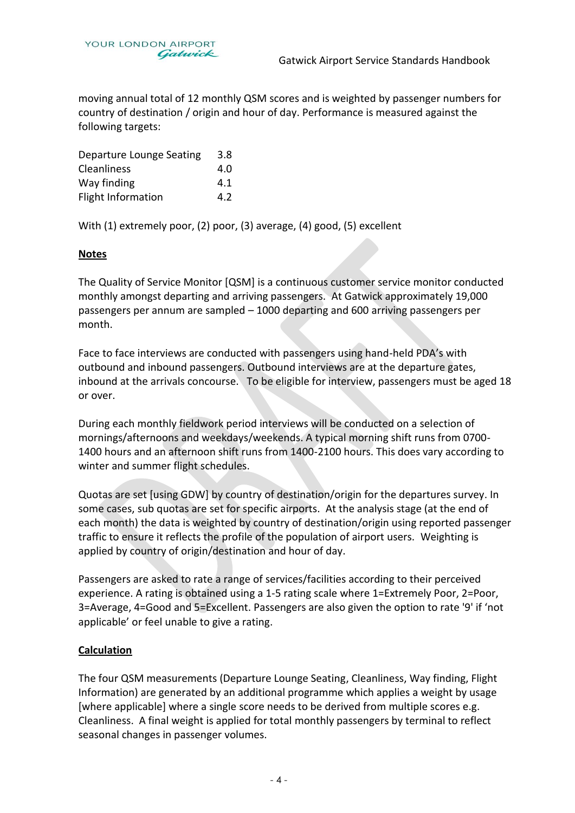moving annual total of 12 monthly QSM scores and is weighted by passenger numbers for country of destination / origin and hour of day. Performance is measured against the following targets:

| Departure Lounge Seating | 3.8 |
|--------------------------|-----|
| Cleanliness              | 4.0 |
| Way finding              | 4.1 |
| Flight Information       | 4.2 |

With (1) extremely poor, (2) poor, (3) average, (4) good, (5) excellent

#### **Notes**

The Quality of Service Monitor [QSM] is a continuous customer service monitor conducted monthly amongst departing and arriving passengers. At Gatwick approximately 19,000 passengers per annum are sampled – 1000 departing and 600 arriving passengers per month.

Face to face interviews are conducted with passengers using hand-held PDA's with outbound and inbound passengers. Outbound interviews are at the departure gates, inbound at the arrivals concourse. To be eligible for interview, passengers must be aged 18 or over.

During each monthly fieldwork period interviews will be conducted on a selection of mornings/afternoons and weekdays/weekends. A typical morning shift runs from 0700- 1400 hours and an afternoon shift runs from 1400-2100 hours. This does vary according to winter and summer flight schedules.

Quotas are set [using GDW] by country of destination/origin for the departures survey. In some cases, sub quotas are set for specific airports. At the analysis stage (at the end of each month) the data is weighted by country of destination/origin using reported passenger traffic to ensure it reflects the profile of the population of airport users. Weighting is applied by country of origin/destination and hour of day.

Passengers are asked to rate a range of services/facilities according to their perceived experience. A rating is obtained using a 1-5 rating scale where 1=Extremely Poor, 2=Poor, 3=Average, 4=Good and 5=Excellent. Passengers are also given the option to rate '9' if 'not applicable' or feel unable to give a rating.

#### **Calculation**

The four QSM measurements (Departure Lounge Seating, Cleanliness, Way finding, Flight Information) are generated by an additional programme which applies a weight by usage [where applicable] where a single score needs to be derived from multiple scores e.g. Cleanliness. A final weight is applied for total monthly passengers by terminal to reflect seasonal changes in passenger volumes.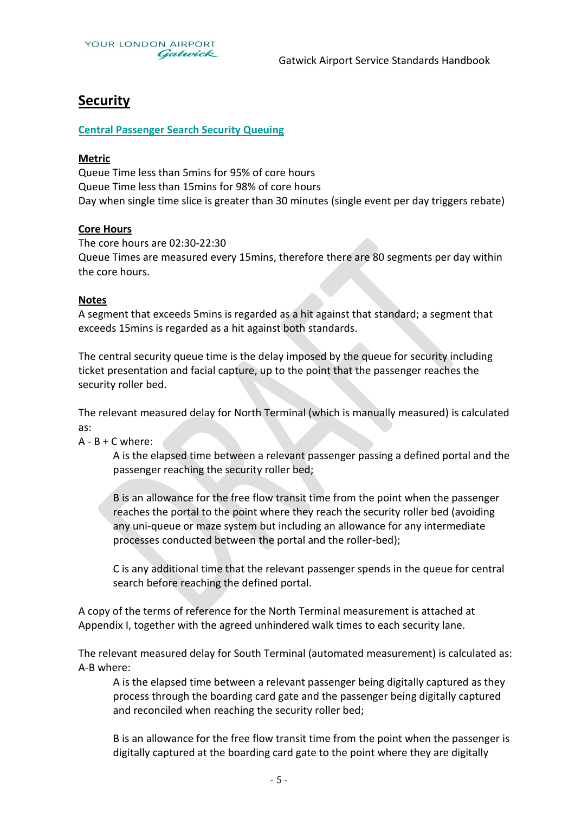

## **Security**

#### **Central Passenger Search Security Queuing**

#### **Metric**

Queue Time less than 5mins for 95% of core hours Queue Time less than 15mins for 98% of core hours Day when single time slice is greater than 30 minutes (single event per day triggers rebate)

#### **Core Hours**

The core hours are 02:30-22:30 Queue Times are measured every 15mins, therefore there are 80 segments per day within the core hours.

#### **Notes**

A segment that exceeds 5mins is regarded as a hit against that standard; a segment that exceeds 15mins is regarded as a hit against both standards.

The central security queue time is the delay imposed by the queue for security including ticket presentation and facial capture, up to the point that the passenger reaches the security roller bed.

The relevant measured delay for North Terminal (which is manually measured) is calculated as:

#### $A - B + C$  where:

A is the elapsed time between a relevant passenger passing a defined portal and the passenger reaching the security roller bed;

B is an allowance for the free flow transit time from the point when the passenger reaches the portal to the point where they reach the security roller bed (avoiding any uni-queue or maze system but including an allowance for any intermediate processes conducted between the portal and the roller-bed);

C is any additional time that the relevant passenger spends in the queue for central search before reaching the defined portal.

A copy of the terms of reference for the North Terminal measurement is attached at Appendix I, together with the agreed unhindered walk times to each security lane.

The relevant measured delay for South Terminal (automated measurement) is calculated as: A-B where:

A is the elapsed time between a relevant passenger being digitally captured as they process through the boarding card gate and the passenger being digitally captured and reconciled when reaching the security roller bed;

B is an allowance for the free flow transit time from the point when the passenger is digitally captured at the boarding card gate to the point where they are digitally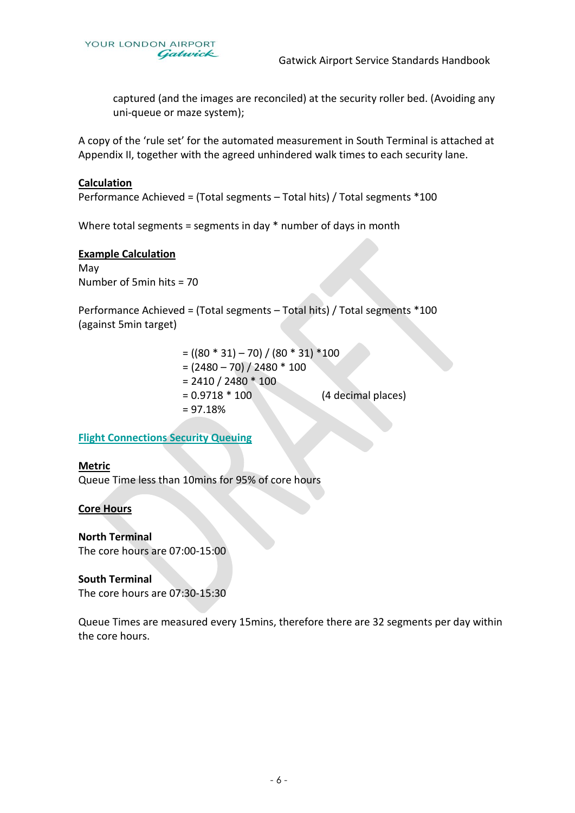

captured (and the images are reconciled) at the security roller bed. (Avoiding any uni-queue or maze system);

A copy of the 'rule set' for the automated measurement in South Terminal is attached at Appendix II, together with the agreed unhindered walk times to each security lane.

#### **Calculation**

Performance Achieved = (Total segments – Total hits) / Total segments \*100

Where total segments = segments in day \* number of days in month

#### **Example Calculation**

May Number of 5min hits = 70

Performance Achieved = (Total segments – Total hits) / Total segments \*100 (against 5min target)

|                              | $= ((80 * 31) - 70) / (80 * 31) * 100$ |
|------------------------------|----------------------------------------|
| $= (2480 - 70) / 2480 * 100$ |                                        |
| $= 2410 / 2480 * 100$        |                                        |
| $= 0.9718 * 100$             | (4 decimal places)                     |
| $= 97.18%$                   |                                        |
|                              |                                        |

#### **Flight Connections Security Queuing**

#### **Metric**

Queue Time less than 10mins for 95% of core hours

#### **Core Hours**

**North Terminal** The core hours are 07:00-15:00

#### **South Terminal**

The core hours are 07:30-15:30

Queue Times are measured every 15mins, therefore there are 32 segments per day within the core hours.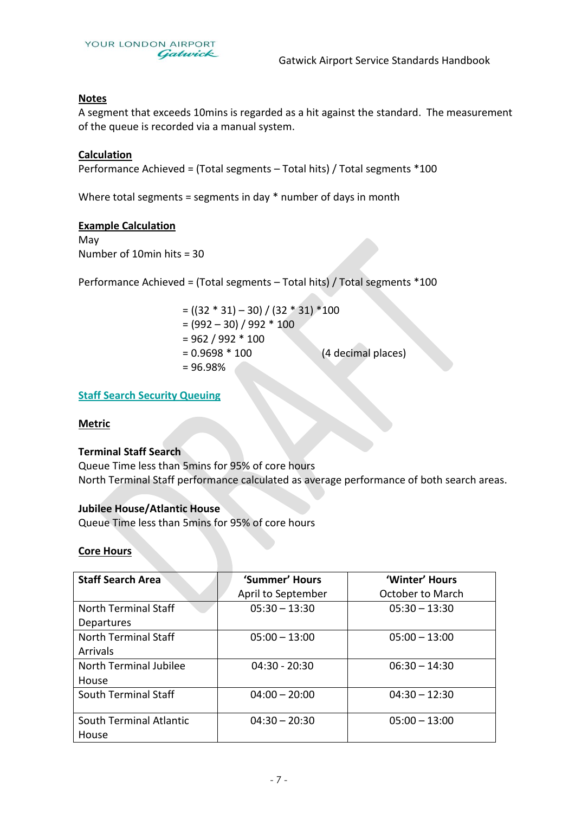

#### **Notes**

A segment that exceeds 10mins is regarded as a hit against the standard. The measurement of the queue is recorded via a manual system.

#### **Calculation**

Performance Achieved = (Total segments – Total hits) / Total segments \*100

Where total segments = segments in day  $*$  number of days in month

#### **Example Calculation**

May Number of 10min hits = 30

Performance Achieved = (Total segments – Total hits) / Total segments \*100

 $= ((32 * 31) - 30) / (32 * 31) * 100$  $= (992 - 30) / 992 * 100$  $= 962 / 992 * 100$ = 0.9698 \* 100 (4 decimal places) = 96.98%

#### **Staff Search Security Queuing**

#### **Metric**

#### **Terminal Staff Search**

Queue Time less than 5mins for 95% of core hours North Terminal Staff performance calculated as average performance of both search areas.

#### **Jubilee House/Atlantic House**

Queue Time less than 5mins for 95% of core hours

#### **Core Hours**

| <b>Staff Search Area</b> | 'Summer' Hours     | 'Winter' Hours          |
|--------------------------|--------------------|-------------------------|
|                          | April to September | <b>October to March</b> |
| North Terminal Staff     | $05:30 - 13:30$    | $05:30 - 13:30$         |
| Departures               |                    |                         |
| North Terminal Staff     | $05:00 - 13:00$    | $05:00 - 13:00$         |
| <b>Arrivals</b>          |                    |                         |
| North Terminal Jubilee   | $04:30 - 20:30$    | $06:30 - 14:30$         |
| House                    |                    |                         |
| South Terminal Staff     | $04:00 - 20:00$    | $04:30 - 12:30$         |
|                          |                    |                         |
| South Terminal Atlantic  | $04:30 - 20:30$    | $05:00 - 13:00$         |
| House                    |                    |                         |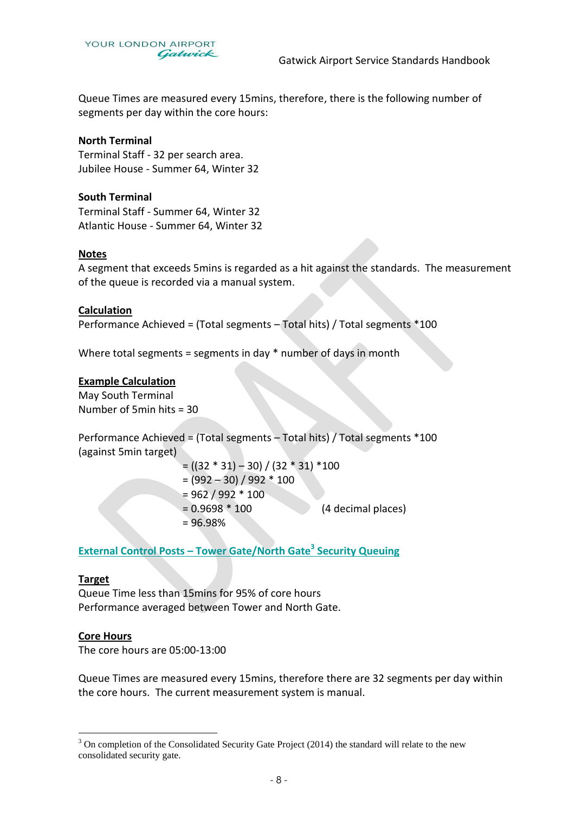

Queue Times are measured every 15mins, therefore, there is the following number of segments per day within the core hours:

#### **North Terminal**

Terminal Staff - 32 per search area. Jubilee House - Summer 64, Winter 32

#### **South Terminal**

Terminal Staff - Summer 64, Winter 32 Atlantic House - Summer 64, Winter 32

#### **Notes**

A segment that exceeds 5mins is regarded as a hit against the standards. The measurement of the queue is recorded via a manual system.

#### **Calculation**

Performance Achieved = (Total segments – Total hits) / Total segments \*100

Where total segments = segments in day \* number of days in month

#### **Example Calculation**

May South Terminal Number of 5min hits = 30

Performance Achieved = (Total segments – Total hits) / Total segments \*100 (against 5min target)

> $= ((32 * 31) - 30) / (32 * 31) * 100$  $= (992 - 30) / 992 * 100$  $= 962 / 992 * 100$ = 0.9698 \* 100 (4 decimal places) = 96.98%

**External Control Posts – Tower Gate/North Gate<sup>3</sup> Security Queuing**

#### **Target**

Queue Time less than 15mins for 95% of core hours Performance averaged between Tower and North Gate.

#### **Core Hours**

 $\overline{a}$ 

The core hours are 05:00-13:00

Queue Times are measured every 15mins, therefore there are 32 segments per day within the core hours. The current measurement system is manual.

<sup>&</sup>lt;sup>3</sup> On completion of the Consolidated Security Gate Project (2014) the standard will relate to the new consolidated security gate.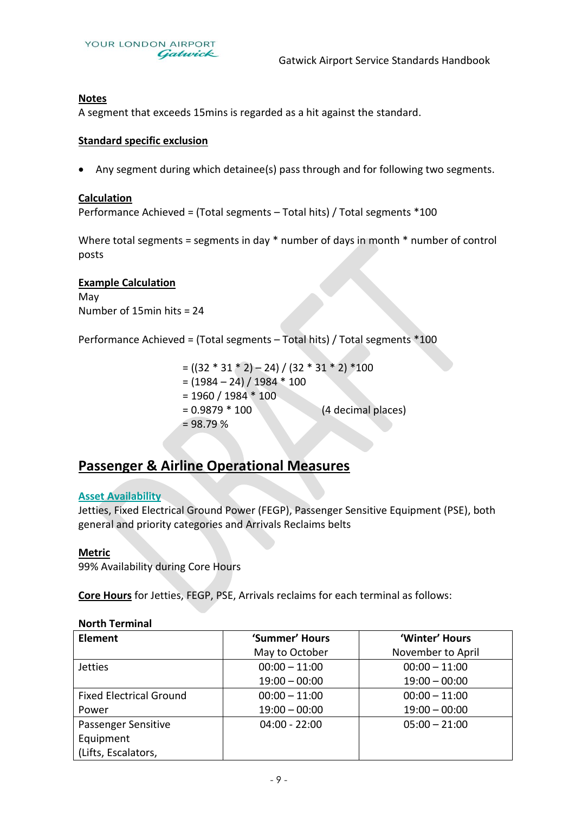

#### **Notes**

A segment that exceeds 15mins is regarded as a hit against the standard.

#### **Standard specific exclusion**

Any segment during which detainee(s) pass through and for following two segments.

#### **Calculation**

Performance Achieved = (Total segments – Total hits) / Total segments \*100

Where total segments = segments in day \* number of days in month \* number of control posts

#### **Example Calculation**

May Number of 15min hits = 24

Performance Achieved = (Total segments – Total hits) / Total segments \*100

 $= ((32 * 31 * 2) - 24) / (32 * 31 * 2) *100$  $= (1984 - 24) / 1984 * 100$  $= 1960 / 1984 * 100$ = 0.9879 \* 100 (4 decimal places)  $= 98.79 %$ 

## **Passenger & Airline Operational Measures**

#### **Asset Availability**

Jetties, Fixed Electrical Ground Power (FEGP), Passenger Sensitive Equipment (PSE), both general and priority categories and Arrivals Reclaims belts

#### **Metric**

99% Availability during Core Hours

**Core Hours** for Jetties, FEGP, PSE, Arrivals reclaims for each terminal as follows:

#### **North Terminal**

| <b>Element</b>                 | 'Summer' Hours  | 'Winter' Hours    |
|--------------------------------|-----------------|-------------------|
|                                | May to October  | November to April |
| <b>Jetties</b>                 | $00:00 - 11:00$ | $00:00 - 11:00$   |
|                                | $19:00 - 00:00$ | $19:00 - 00:00$   |
| <b>Fixed Electrical Ground</b> | $00:00 - 11:00$ | $00:00 - 11:00$   |
| Power                          | $19:00 - 00:00$ | $19:00 - 00:00$   |
| Passenger Sensitive            | $04:00 - 22:00$ | $05:00 - 21:00$   |
| Equipment                      |                 |                   |
| (Lifts, Escalators,            |                 |                   |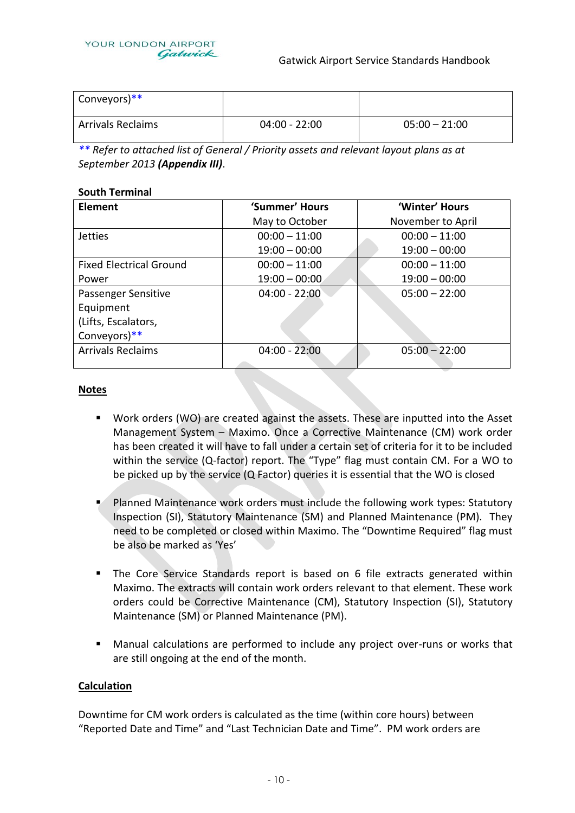

| Conveyors)**             |                 |                 |
|--------------------------|-----------------|-----------------|
| <b>Arrivals Reclaims</b> | $04:00 - 22:00$ | $05:00 - 21:00$ |

*\*\* Refer to attached list of General / Priority assets and relevant layout plans as at September 2013 (Appendix III)*.

#### **South Terminal**

| Element                        | 'Summer' Hours  | 'Winter' Hours    |  |
|--------------------------------|-----------------|-------------------|--|
|                                | May to October  | November to April |  |
| <b>Jetties</b>                 | $00:00 - 11:00$ | $00:00 - 11:00$   |  |
|                                | $19:00 - 00:00$ | $19:00 - 00:00$   |  |
| <b>Fixed Electrical Ground</b> | $00:00 - 11:00$ | $00:00 - 11:00$   |  |
| Power                          | $19:00 - 00:00$ | $19:00 - 00:00$   |  |
| Passenger Sensitive            | $04:00 - 22:00$ | $05:00 - 22:00$   |  |
| Equipment                      |                 |                   |  |
| (Lifts, Escalators,            |                 |                   |  |
| Conveyors)**                   |                 |                   |  |
| <b>Arrivals Reclaims</b>       | $04:00 - 22:00$ | $05:00 - 22:00$   |  |
|                                |                 |                   |  |

#### **Notes**

- Work orders (WO) are created against the assets. These are inputted into the Asset Management System – Maximo. Once a Corrective Maintenance (CM) work order has been created it will have to fall under a certain set of criteria for it to be included within the service (Q-factor) report. The "Type" flag must contain CM. For a WO to be picked up by the service (Q Factor) queries it is essential that the WO is closed
- Planned Maintenance work orders must include the following work types: Statutory Inspection (SI), Statutory Maintenance (SM) and Planned Maintenance (PM). They need to be completed or closed within Maximo. The "Downtime Required" flag must be also be marked as 'Yes'
- The Core Service Standards report is based on 6 file extracts generated within Maximo. The extracts will contain work orders relevant to that element. These work orders could be Corrective Maintenance (CM), Statutory Inspection (SI), Statutory Maintenance (SM) or Planned Maintenance (PM).
- Manual calculations are performed to include any project over-runs or works that are still ongoing at the end of the month.

#### **Calculation**

Downtime for CM work orders is calculated as the time (within core hours) between "Reported Date and Time" and "Last Technician Date and Time". PM work orders are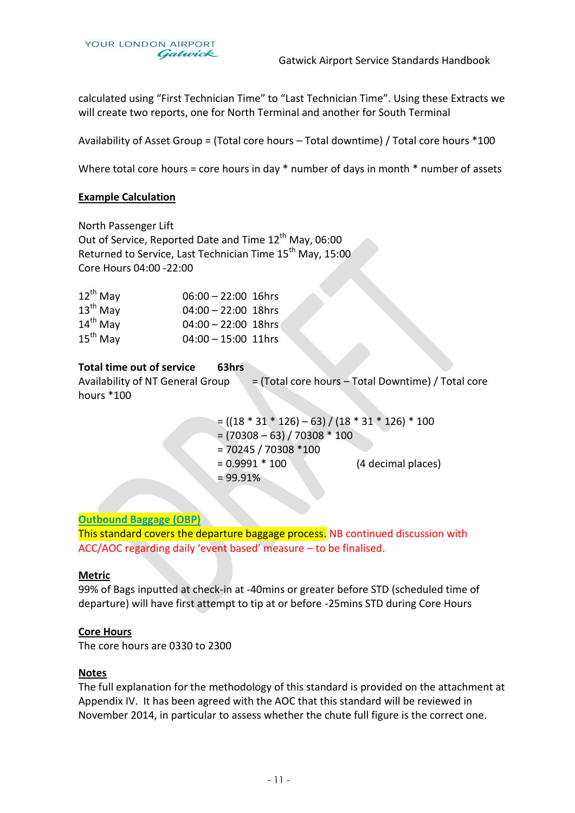

calculated using "First Technician Time" to "Last Technician Time". Using these Extracts we will create two reports, one for North Terminal and another for South Terminal

Availability of Asset Group = (Total core hours – Total downtime) / Total core hours \*100

Where total core hours = core hours in day \* number of days in month \* number of assets

#### **Example Calculation**

North Passenger Lift Out of Service, Reported Date and Time 12<sup>th</sup> May, 06:00 Returned to Service, Last Technician Time 15<sup>th</sup> May, 15:00 Core Hours 04:00 -22:00

| $12^{th}$ May | $06:00 - 22:00$ 16hrs |  |
|---------------|-----------------------|--|
| $13th$ May    | $04:00 - 22:00$ 18hrs |  |
| $14^{th}$ May | $04:00 - 22:00$ 18hrs |  |
| $15^{th}$ May | $04:00 - 15:00$ 11hrs |  |

#### **Total time out of service 63hrs**

Availability of NT General Group  $=$  (Total core hours – Total Downtime) / Total core hours \*100

> $=$  ((18  $*$  31  $*$  126) – 63) / (18  $*$  31  $*$  126)  $*$  100  $= (70308 - 63) / 70308 * 100$ = 70245 / 70308 \*100 = 0.9991 \* 100 (4 decimal places)  $= 99.91%$

#### **Outbound Baggage (OBP)**

This standard covers the departure baggage process. NB continued discussion with ACC/AOC regarding daily 'event based' measure – to be finalised.

#### **Metric**

99% of Bags inputted at check-in at -40mins or greater before STD (scheduled time of departure) will have first attempt to tip at or before -25mins STD during Core Hours

#### **Core Hours**

The core hours are 0330 to 2300

#### **Notes**

The full explanation for the methodology of this standard is provided on the attachment at Appendix IV. It has been agreed with the AOC that this standard will be reviewed in November 2014, in particular to assess whether the chute full figure is the correct one.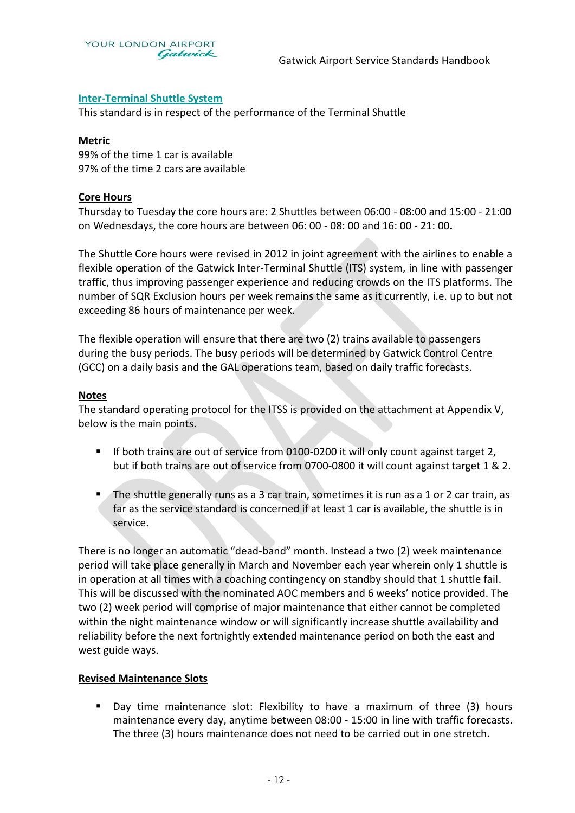

#### **Inter-Terminal Shuttle System**

This standard is in respect of the performance of the Terminal Shuttle

#### **Metric**

99% of the time 1 car is available 97% of the time 2 cars are available

#### **Core Hours**

Thursday to Tuesday the core hours are: 2 Shuttles between 06:00 - 08:00 and 15:00 - 21:00 on Wednesdays, the core hours are between 06: 00 - 08: 00 and 16: 00 - 21: 00**.** 

The Shuttle Core hours were revised in 2012 in joint agreement with the airlines to enable a flexible operation of the Gatwick Inter-Terminal Shuttle (ITS) system, in line with passenger traffic, thus improving passenger experience and reducing crowds on the ITS platforms. The number of SQR Exclusion hours per week remains the same as it currently, i.e. up to but not exceeding 86 hours of maintenance per week.

The flexible operation will ensure that there are two (2) trains available to passengers during the busy periods. The busy periods will be determined by Gatwick Control Centre (GCC) on a daily basis and the GAL operations team, based on daily traffic forecasts.

#### **Notes**

The standard operating protocol for the ITSS is provided on the attachment at Appendix V, below is the main points.

- If both trains are out of service from 0100-0200 it will only count against target 2. but if both trains are out of service from 0700-0800 it will count against target 1 & 2.
- The shuttle generally runs as a 3 car train, sometimes it is run as a 1 or 2 car train, as far as the service standard is concerned if at least 1 car is available, the shuttle is in service.

There is no longer an automatic "dead-band" month. Instead a two (2) week maintenance period will take place generally in March and November each year wherein only 1 shuttle is in operation at all times with a coaching contingency on standby should that 1 shuttle fail. This will be discussed with the nominated AOC members and 6 weeks' notice provided. The two (2) week period will comprise of major maintenance that either cannot be completed within the night maintenance window or will significantly increase shuttle availability and reliability before the next fortnightly extended maintenance period on both the east and west guide ways.

#### **Revised Maintenance Slots**

 Day time maintenance slot: Flexibility to have a maximum of three (3) hours maintenance every day, anytime between 08:00 - 15:00 in line with traffic forecasts. The three (3) hours maintenance does not need to be carried out in one stretch.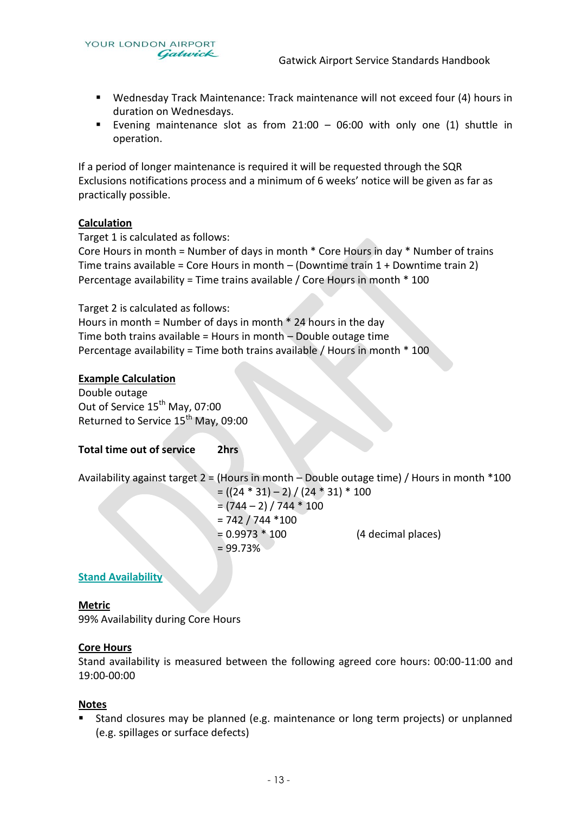- Wednesday Track Maintenance: Track maintenance will not exceed four (4) hours in duration on Wednesdays.
- Evening maintenance slot as from  $21:00 06:00$  with only one (1) shuttle in operation.

If a period of longer maintenance is required it will be requested through the SQR Exclusions notifications process and a minimum of 6 weeks' notice will be given as far as practically possible.

#### **Calculation**

Target 1 is calculated as follows:

Core Hours in month = Number of days in month \* Core Hours in day \* Number of trains Time trains available = Core Hours in month – (Downtime train 1 + Downtime train 2) Percentage availability = Time trains available / Core Hours in month \* 100

Target 2 is calculated as follows:

Hours in month = Number of days in month  $*$  24 hours in the day Time both trains available = Hours in month – Double outage time Percentage availability = Time both trains available / Hours in month \* 100

#### **Example Calculation**

Double outage Out of Service 15<sup>th</sup> May, 07:00 Returned to Service  $15<sup>th</sup>$  May, 09:00

#### **Total time out of service 2hrs**

Availability against target 2 = (Hours in month – Double outage time) / Hours in month \*100

 $= ((24 * 31) - 2) / (24 * 31) * 100$  $=(744 - 2) / 744 * 100$  $= 742 / 744 * 100$  $= 0.9973 * 100$  (4 decimal places)  $= 99.73%$ 

#### **Stand Availability**

#### **Metric**

99% Availability during Core Hours

#### **Core Hours**

Stand availability is measured between the following agreed core hours: 00:00-11:00 and 19:00-00:00

#### **Notes**

 Stand closures may be planned (e.g. maintenance or long term projects) or unplanned (e.g. spillages or surface defects)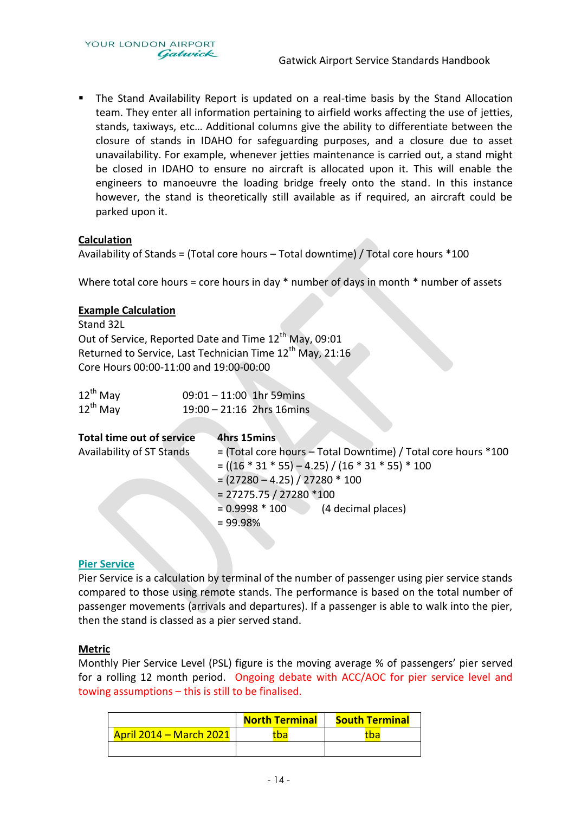YOUR LONDON AIRPORT Gatwick

 The Stand Availability Report is updated on a real-time basis by the Stand Allocation team. They enter all information pertaining to airfield works affecting the use of jetties, stands, taxiways, etc… Additional columns give the ability to differentiate between the closure of stands in IDAHO for safeguarding purposes, and a closure due to asset unavailability. For example, whenever jetties maintenance is carried out, a stand might be closed in IDAHO to ensure no aircraft is allocated upon it. This will enable the engineers to manoeuvre the loading bridge freely onto the stand. In this instance however, the stand is theoretically still available as if required, an aircraft could be parked upon it.

#### **Calculation**

Availability of Stands = (Total core hours – Total downtime) / Total core hours \*100

Where total core hours = core hours in day \* number of days in month \* number of assets

#### **Example Calculation**

Stand 32L Out of Service, Reported Date and Time 12<sup>th</sup> May, 09:01 Returned to Service, Last Technician Time  $12<sup>th</sup>$  May, 21:16 Core Hours 00:00-11:00 and 19:00-00:00

| $12^{\text{th}}$ May | $09:01 - 11:00$ 1hr 59mins |  |
|----------------------|----------------------------|--|
| $12^{\text{th}}$ May | 19:00 - 21:16 2hrs 16mins  |  |

| Total time out of service | 4hrs 15mins                                                   |
|---------------------------|---------------------------------------------------------------|
| Availability of ST Stands | = (Total core hours – Total Downtime) / Total core hours *100 |
|                           | $= ((16 * 31 * 55) - 4.25) / (16 * 31 * 55) * 100$            |
|                           | $= (27280 - 4.25) / 27280 * 100$                              |
|                           | $= 27275.75 / 27280 * 100$                                    |
|                           | $= 0.9998 * 100$ (4 decimal places)                           |
|                           | $= 99.98%$                                                    |

#### **Pier Service**

Pier Service is a calculation by terminal of the number of passenger using pier service stands compared to those using remote stands. The performance is based on the total number of passenger movements (arrivals and departures). If a passenger is able to walk into the pier, then the stand is classed as a pier served stand.

#### **Metric**

Monthly Pier Service Level (PSL) figure is the moving average % of passengers' pier served for a rolling 12 month period. Ongoing debate with ACC/AOC for pier service level and towing assumptions – this is still to be finalised.

|                                | <b>North Terminal</b> | <b>South Terminal</b> |  |  |
|--------------------------------|-----------------------|-----------------------|--|--|
| <b>April 2014 - March 2021</b> | <u>ba</u>             | tbal                  |  |  |
|                                |                       |                       |  |  |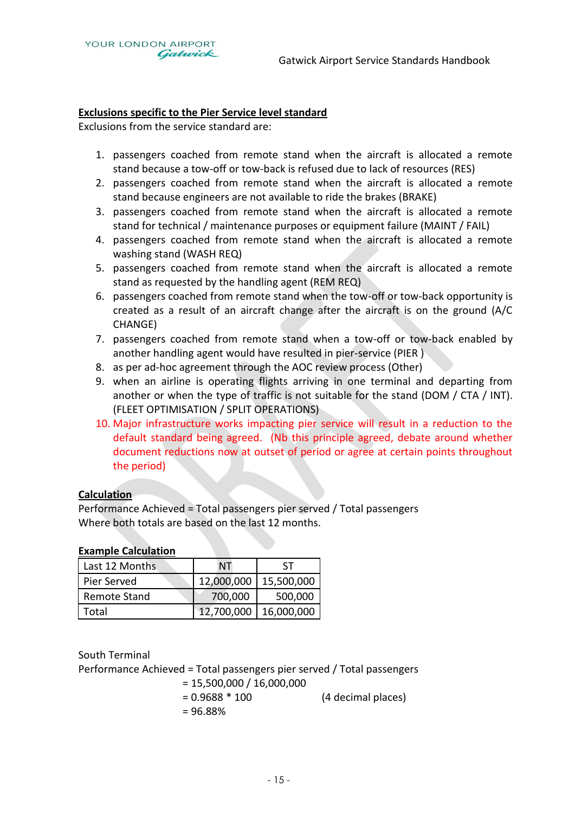#### **Exclusions specific to the Pier Service level standard**

Exclusions from the service standard are:

- 1. passengers coached from remote stand when the aircraft is allocated a remote stand because a tow-off or tow-back is refused due to lack of resources (RES)
- 2. passengers coached from remote stand when the aircraft is allocated a remote stand because engineers are not available to ride the brakes (BRAKE)
- 3. passengers coached from remote stand when the aircraft is allocated a remote stand for technical / maintenance purposes or equipment failure (MAINT / FAIL)
- 4. passengers coached from remote stand when the aircraft is allocated a remote washing stand (WASH REQ)
- 5. passengers coached from remote stand when the aircraft is allocated a remote stand as requested by the handling agent (REM REQ)
- 6. passengers coached from remote stand when the tow-off or tow-back opportunity is created as a result of an aircraft change after the aircraft is on the ground (A/C CHANGE)
- 7. passengers coached from remote stand when a tow-off or tow-back enabled by another handling agent would have resulted in pier-service (PIER )
- 8. as per ad-hoc agreement through the AOC review process (Other)
- 9. when an airline is operating flights arriving in one terminal and departing from another or when the type of traffic is not suitable for the stand (DOM / CTA / INT). (FLEET OPTIMISATION / SPLIT OPERATIONS)
- 10. Major infrastructure works impacting pier service will result in a reduction to the default standard being agreed. (Nb this principle agreed, debate around whether document reductions now at outset of period or agree at certain points throughout the period)

#### **Calculation**

Performance Achieved = Total passengers pier served / Total passengers Where both totals are based on the last 12 months.

#### **Example Calculation**

| Last 12 Months      | ΝT         | <b>ST</b>  |
|---------------------|------------|------------|
| Pier Served         | 12,000,000 | 15,500,000 |
| <b>Remote Stand</b> | 700,000    | 500,000    |
| Total               | 12,700,000 | 16,000,000 |

South Terminal

Performance Achieved = Total passengers pier served / Total passengers

 $= 15,500,000 / 16,000,000$ = 0.9688 \* 100 (4 decimal places) = 96.88%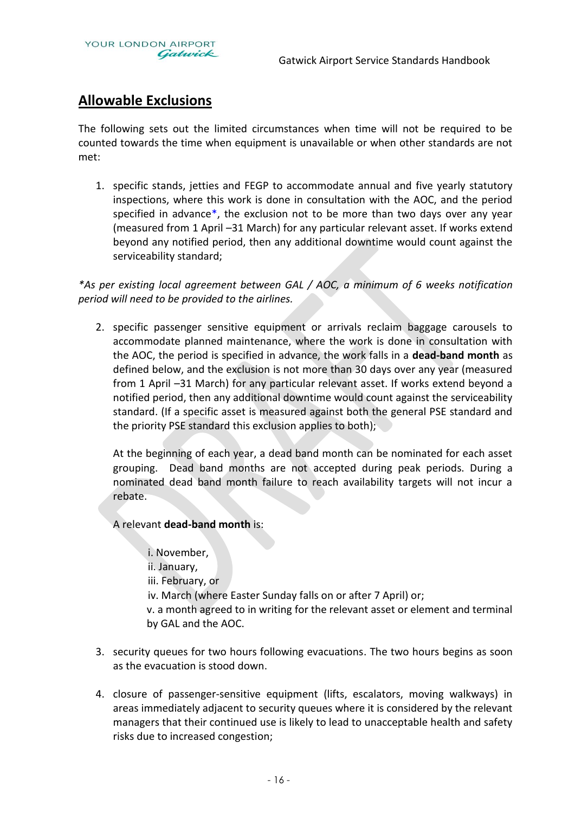

## **Allowable Exclusions**

The following sets out the limited circumstances when time will not be required to be counted towards the time when equipment is unavailable or when other standards are not met:

1. specific stands, jetties and FEGP to accommodate annual and five yearly statutory inspections, where this work is done in consultation with the AOC, and the period specified in advance\*, the exclusion not to be more than two days over any year (measured from 1 April –31 March) for any particular relevant asset. If works extend beyond any notified period, then any additional downtime would count against the serviceability standard;

*\*As per existing local agreement between GAL / AOC, a minimum of 6 weeks notification period will need to be provided to the airlines.* 

2. specific passenger sensitive equipment or arrivals reclaim baggage carousels to accommodate planned maintenance, where the work is done in consultation with the AOC, the period is specified in advance, the work falls in a **dead-band month** as defined below, and the exclusion is not more than 30 days over any year (measured from 1 April –31 March) for any particular relevant asset. If works extend beyond a notified period, then any additional downtime would count against the serviceability standard. (If a specific asset is measured against both the general PSE standard and the priority PSE standard this exclusion applies to both);

At the beginning of each year, a dead band month can be nominated for each asset grouping. Dead band months are not accepted during peak periods. During a nominated dead band month failure to reach availability targets will not incur a rebate.

A relevant **dead-band month** is:

i. November, ii. January, iii. February, or iv. March (where Easter Sunday falls on or after 7 April) or; v. a month agreed to in writing for the relevant asset or element and terminal by GAL and the AOC.

- 3. security queues for two hours following evacuations. The two hours begins as soon as the evacuation is stood down.
- 4. closure of passenger-sensitive equipment (lifts, escalators, moving walkways) in areas immediately adjacent to security queues where it is considered by the relevant managers that their continued use is likely to lead to unacceptable health and safety risks due to increased congestion;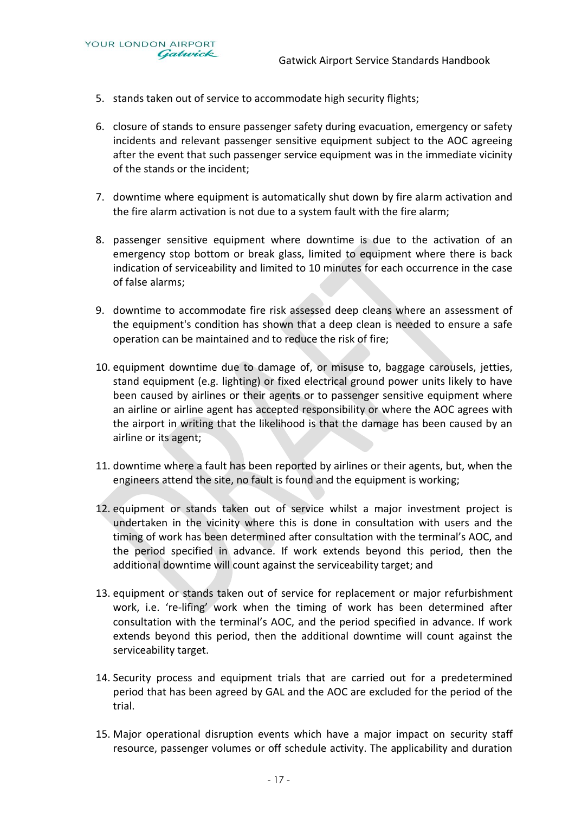5. stands taken out of service to accommodate high security flights;

YOUR LONDON AIRPORT

Gatwick

- 6. closure of stands to ensure passenger safety during evacuation, emergency or safety incidents and relevant passenger sensitive equipment subject to the AOC agreeing after the event that such passenger service equipment was in the immediate vicinity of the stands or the incident;
- 7. downtime where equipment is automatically shut down by fire alarm activation and the fire alarm activation is not due to a system fault with the fire alarm;
- 8. passenger sensitive equipment where downtime is due to the activation of an emergency stop bottom or break glass, limited to equipment where there is back indication of serviceability and limited to 10 minutes for each occurrence in the case of false alarms;
- 9. downtime to accommodate fire risk assessed deep cleans where an assessment of the equipment's condition has shown that a deep clean is needed to ensure a safe operation can be maintained and to reduce the risk of fire;
- 10. equipment downtime due to damage of, or misuse to, baggage carousels, jetties, stand equipment (e.g. lighting) or fixed electrical ground power units likely to have been caused by airlines or their agents or to passenger sensitive equipment where an airline or airline agent has accepted responsibility or where the AOC agrees with the airport in writing that the likelihood is that the damage has been caused by an airline or its agent;
- 11. downtime where a fault has been reported by airlines or their agents, but, when the engineers attend the site, no fault is found and the equipment is working;
- 12. equipment or stands taken out of service whilst a major investment project is undertaken in the vicinity where this is done in consultation with users and the timing of work has been determined after consultation with the terminal's AOC, and the period specified in advance. If work extends beyond this period, then the additional downtime will count against the serviceability target; and
- 13. equipment or stands taken out of service for replacement or major refurbishment work, i.e. 're-lifing' work when the timing of work has been determined after consultation with the terminal's AOC, and the period specified in advance. If work extends beyond this period, then the additional downtime will count against the serviceability target.
- 14. Security process and equipment trials that are carried out for a predetermined period that has been agreed by GAL and the AOC are excluded for the period of the trial.
- 15. Major operational disruption events which have a major impact on security staff resource, passenger volumes or off schedule activity. The applicability and duration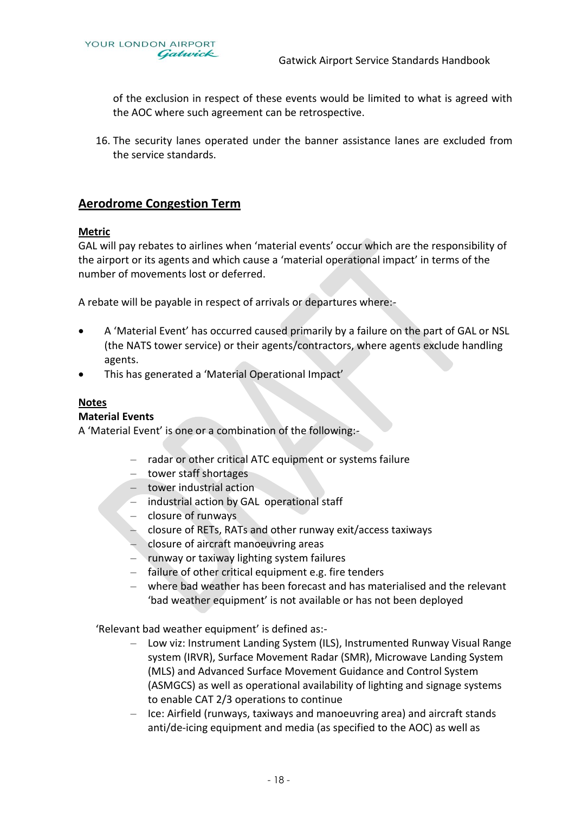

of the exclusion in respect of these events would be limited to what is agreed with the AOC where such agreement can be retrospective.

16. The security lanes operated under the banner assistance lanes are excluded from the service standards.

#### **Aerodrome Congestion Term**

#### **Metric**

GAL will pay rebates to airlines when 'material events' occur which are the responsibility of the airport or its agents and which cause a 'material operational impact' in terms of the number of movements lost or deferred.

A rebate will be payable in respect of arrivals or departures where:-

- A 'Material Event' has occurred caused primarily by a failure on the part of GAL or NSL (the NATS tower service) or their agents/contractors, where agents exclude handling agents.
- This has generated a 'Material Operational Impact'

#### **Notes**

#### **Material Events**

A 'Material Event' is one or a combination of the following:-

- radar or other critical ATC equipment or systems failure
- tower staff shortages
- tower industrial action
- industrial action by GAL operational staff
- closure of runways
- closure of RETs, RATs and other runway exit/access taxiways
- closure of aircraft manoeuvring areas
- runway or taxiway lighting system failures
- failure of other critical equipment e.g. fire tenders
- where bad weather has been forecast and has materialised and the relevant 'bad weather equipment' is not available or has not been deployed

'Relevant bad weather equipment' is defined as:-

- Low viz: Instrument Landing System (ILS), Instrumented Runway Visual Range system (IRVR), Surface Movement Radar (SMR), Microwave Landing System (MLS) and Advanced Surface Movement Guidance and Control System (ASMGCS) as well as operational availability of lighting and signage systems to enable CAT 2/3 operations to continue
- Ice: Airfield (runways, taxiways and manoeuvring area) and aircraft stands anti/de-icing equipment and media (as specified to the AOC) as well as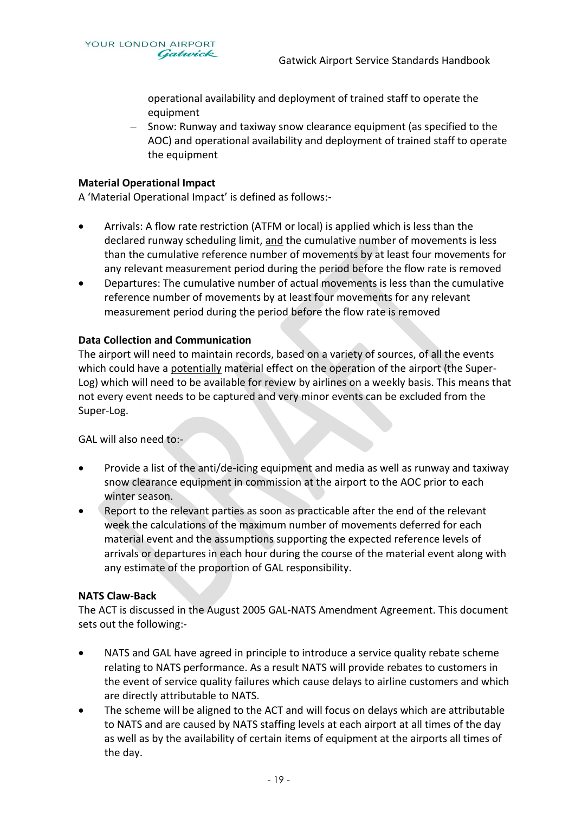operational availability and deployment of trained staff to operate the equipment

– Snow: Runway and taxiway snow clearance equipment (as specified to the AOC) and operational availability and deployment of trained staff to operate the equipment

#### **Material Operational Impact**

A 'Material Operational Impact' is defined as follows:-

- Arrivals: A flow rate restriction (ATFM or local) is applied which is less than the declared runway scheduling limit, and the cumulative number of movements is less than the cumulative reference number of movements by at least four movements for any relevant measurement period during the period before the flow rate is removed
- Departures: The cumulative number of actual movements is less than the cumulative reference number of movements by at least four movements for any relevant measurement period during the period before the flow rate is removed

#### **Data Collection and Communication**

The airport will need to maintain records, based on a variety of sources, of all the events which could have a potentially material effect on the operation of the airport (the Super-Log) which will need to be available for review by airlines on a weekly basis. This means that not every event needs to be captured and very minor events can be excluded from the Super-Log.

GAL will also need to:-

- Provide a list of the anti/de-icing equipment and media as well as runway and taxiway snow clearance equipment in commission at the airport to the AOC prior to each winter season.
- Report to the relevant parties as soon as practicable after the end of the relevant week the calculations of the maximum number of movements deferred for each material event and the assumptions supporting the expected reference levels of arrivals or departures in each hour during the course of the material event along with any estimate of the proportion of GAL responsibility.

#### **NATS Claw-Back**

The ACT is discussed in the August 2005 GAL-NATS Amendment Agreement. This document sets out the following:-

- NATS and GAL have agreed in principle to introduce a service quality rebate scheme relating to NATS performance. As a result NATS will provide rebates to customers in the event of service quality failures which cause delays to airline customers and which are directly attributable to NATS.
- The scheme will be aligned to the ACT and will focus on delays which are attributable to NATS and are caused by NATS staffing levels at each airport at all times of the day as well as by the availability of certain items of equipment at the airports all times of the day.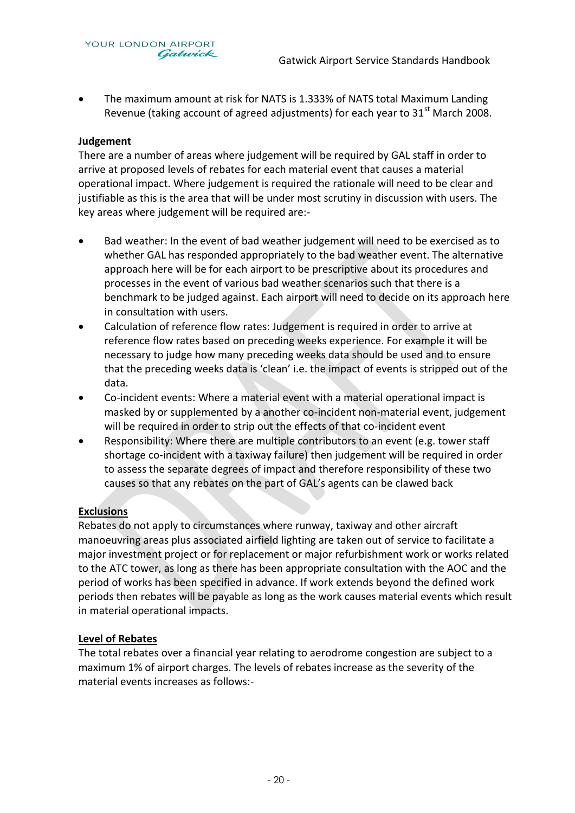• The maximum amount at risk for NATS is 1.333% of NATS total Maximum Landing Revenue (taking account of agreed adjustments) for each year to  $31<sup>st</sup>$  March 2008.

#### **Judgement**

There are a number of areas where judgement will be required by GAL staff in order to arrive at proposed levels of rebates for each material event that causes a material operational impact. Where judgement is required the rationale will need to be clear and justifiable as this is the area that will be under most scrutiny in discussion with users. The key areas where judgement will be required are:-

- Bad weather: In the event of bad weather judgement will need to be exercised as to whether GAL has responded appropriately to the bad weather event. The alternative approach here will be for each airport to be prescriptive about its procedures and processes in the event of various bad weather scenarios such that there is a benchmark to be judged against. Each airport will need to decide on its approach here in consultation with users.
- Calculation of reference flow rates: Judgement is required in order to arrive at reference flow rates based on preceding weeks experience. For example it will be necessary to judge how many preceding weeks data should be used and to ensure that the preceding weeks data is 'clean' i.e. the impact of events is stripped out of the data.
- Co-incident events: Where a material event with a material operational impact is masked by or supplemented by a another co-incident non-material event, judgement will be required in order to strip out the effects of that co-incident event
- Responsibility: Where there are multiple contributors to an event (e.g. tower staff shortage co-incident with a taxiway failure) then judgement will be required in order to assess the separate degrees of impact and therefore responsibility of these two causes so that any rebates on the part of GAL's agents can be clawed back

#### **Exclusions**

Rebates do not apply to circumstances where runway, taxiway and other aircraft manoeuvring areas plus associated airfield lighting are taken out of service to facilitate a major investment project or for replacement or major refurbishment work or works related to the ATC tower, as long as there has been appropriate consultation with the AOC and the period of works has been specified in advance. If work extends beyond the defined work periods then rebates will be payable as long as the work causes material events which result in material operational impacts.

#### **Level of Rebates**

The total rebates over a financial year relating to aerodrome congestion are subject to a maximum 1% of airport charges. The levels of rebates increase as the severity of the material events increases as follows:-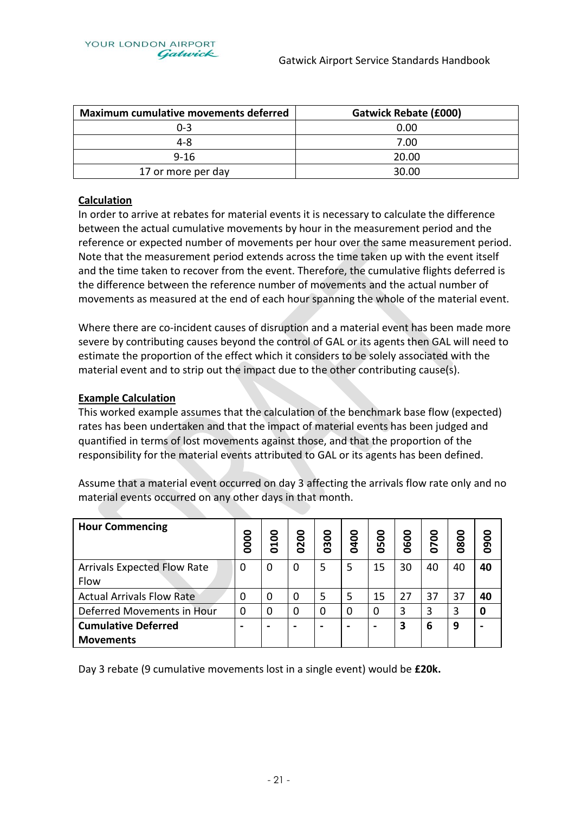| <b>Maximum cumulative movements deferred</b> | <b>Gatwick Rebate (£000)</b> |
|----------------------------------------------|------------------------------|
| $0 - 3$                                      | 0.00                         |
| 4-8                                          | 7.00                         |
| $9 - 16$                                     | 20.00                        |
| 17 or more per day                           | 30.00                        |

#### **Calculation**

In order to arrive at rebates for material events it is necessary to calculate the difference between the actual cumulative movements by hour in the measurement period and the reference or expected number of movements per hour over the same measurement period. Note that the measurement period extends across the time taken up with the event itself and the time taken to recover from the event. Therefore, the cumulative flights deferred is the difference between the reference number of movements and the actual number of movements as measured at the end of each hour spanning the whole of the material event.

Where there are co-incident causes of disruption and a material event has been made more severe by contributing causes beyond the control of GAL or its agents then GAL will need to estimate the proportion of the effect which it considers to be solely associated with the material event and to strip out the impact due to the other contributing cause(s).

#### **Example Calculation**

**Cumulative Deferred** 

**Movements** 

This worked example assumes that the calculation of the benchmark base flow (expected) rates has been undertaken and that the impact of material events has been judged and quantified in terms of lost movements against those, and that the proportion of the responsibility for the material events attributed to GAL or its agents has been defined.

**Hour Commencing 0000 0100 0200 0300 0400 0500 0600 0700 0800 0900** Arrivals Expected Flow Rate Flow 0 |0 |0 |5 |5 |15 |30 |40 |40 |**40** 

Actual Arrivals Flow Rate 0 0 0 0 0 5 5 15 27 37 37 37 40 Deferred Movements in Hour 0 0 0 0 0 0 3 3 3 **0**

**- - - - - - 3 6 9 -**

Assume that a material event occurred on day 3 affecting the arrivals flow rate only and no material events occurred on any other days in that month.

Day 3 rebate (9 cumulative movements lost in a single event) would be **£20k.**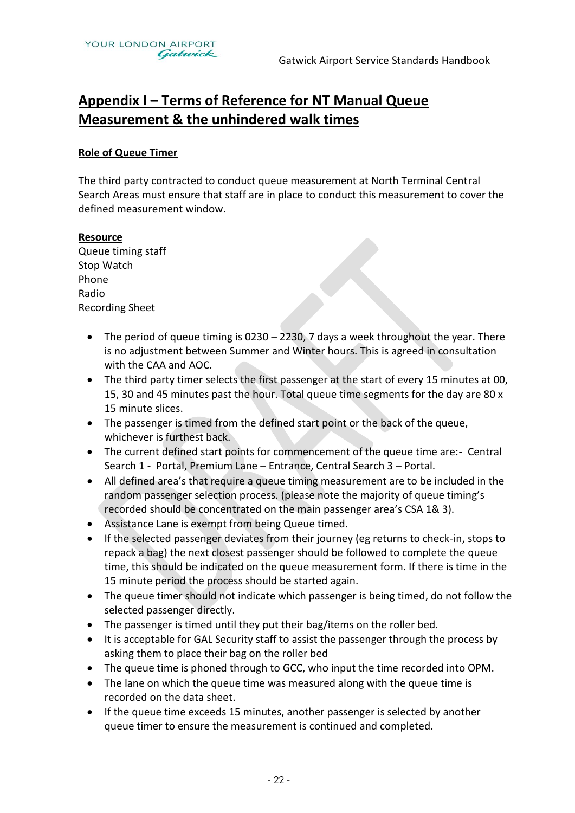## **Appendix I – Terms of Reference for NT Manual Queue Measurement & the unhindered walk times**

#### **Role of Queue Timer**

The third party contracted to conduct queue measurement at North Terminal Central Search Areas must ensure that staff are in place to conduct this measurement to cover the defined measurement window.

#### **Resource**

Queue timing staff Stop Watch Phone Radio Recording Sheet

- The period of queue timing is 0230 2230, 7 days a week throughout the year. There is no adjustment between Summer and Winter hours. This is agreed in consultation with the CAA and AOC.
- The third party timer selects the first passenger at the start of every 15 minutes at 00, 15, 30 and 45 minutes past the hour. Total queue time segments for the day are 80 x 15 minute slices.
- The passenger is timed from the defined start point or the back of the queue, whichever is furthest back.
- The current defined start points for commencement of the queue time are:- Central Search 1 - Portal, Premium Lane – Entrance, Central Search 3 – Portal.
- All defined area's that require a queue timing measurement are to be included in the random passenger selection process. (please note the majority of queue timing's recorded should be concentrated on the main passenger area's CSA 1& 3).
- Assistance Lane is exempt from being Queue timed.
- If the selected passenger deviates from their journey (eg returns to check-in, stops to repack a bag) the next closest passenger should be followed to complete the queue time, this should be indicated on the queue measurement form. If there is time in the 15 minute period the process should be started again.
- The queue timer should not indicate which passenger is being timed, do not follow the selected passenger directly.
- The passenger is timed until they put their bag/items on the roller bed.
- It is acceptable for GAL Security staff to assist the passenger through the process by asking them to place their bag on the roller bed
- The queue time is phoned through to GCC, who input the time recorded into OPM.
- The lane on which the queue time was measured along with the queue time is recorded on the data sheet.
- If the queue time exceeds 15 minutes, another passenger is selected by another queue timer to ensure the measurement is continued and completed.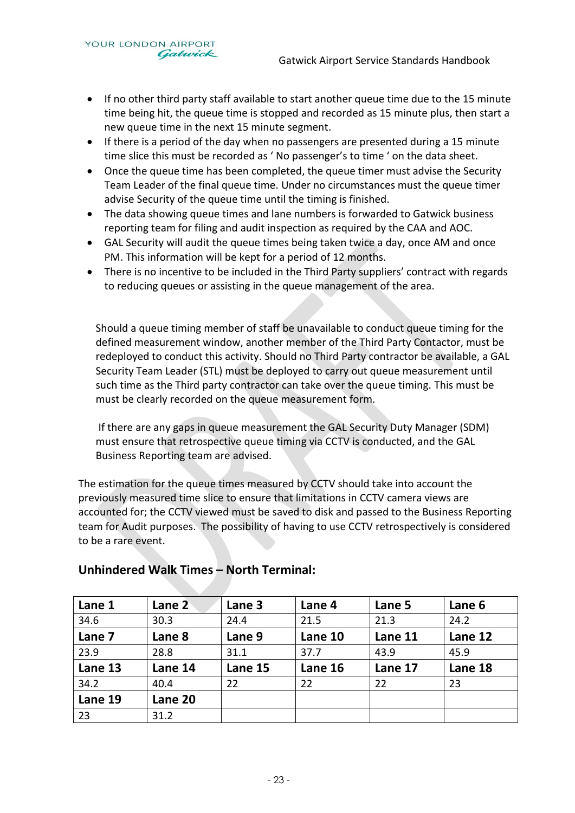YOUR LONDON AIRPORT Gatwick

- If no other third party staff available to start another queue time due to the 15 minute time being hit, the queue time is stopped and recorded as 15 minute plus, then start a new queue time in the next 15 minute segment.
- If there is a period of the day when no passengers are presented during a 15 minute time slice this must be recorded as ' No passenger's to time ' on the data sheet.
- Once the queue time has been completed, the queue timer must advise the Security Team Leader of the final queue time. Under no circumstances must the queue timer advise Security of the queue time until the timing is finished.
- The data showing queue times and lane numbers is forwarded to Gatwick business reporting team for filing and audit inspection as required by the CAA and AOC.
- GAL Security will audit the queue times being taken twice a day, once AM and once PM. This information will be kept for a period of 12 months.
- There is no incentive to be included in the Third Party suppliers' contract with regards to reducing queues or assisting in the queue management of the area.

Should a queue timing member of staff be unavailable to conduct queue timing for the defined measurement window, another member of the Third Party Contactor, must be redeployed to conduct this activity. Should no Third Party contractor be available, a GAL Security Team Leader (STL) must be deployed to carry out queue measurement until such time as the Third party contractor can take over the queue timing. This must be must be clearly recorded on the queue measurement form.

If there are any gaps in queue measurement the GAL Security Duty Manager (SDM) must ensure that retrospective queue timing via CCTV is conducted, and the GAL Business Reporting team are advised.

The estimation for the queue times measured by CCTV should take into account the previously measured time slice to ensure that limitations in CCTV camera views are accounted for; the CCTV viewed must be saved to disk and passed to the Business Reporting team for Audit purposes. The possibility of having to use CCTV retrospectively is considered to be a rare event.

| Lane 1  | Lane 2  | Lane 3  | Lane 4  | Lane 5  | Lane 6  |
|---------|---------|---------|---------|---------|---------|
| 34.6    | 30.3    | 24.4    | 21.5    | 21.3    | 24.2    |
| Lane 7  | Lane 8  | Lane 9  | Lane 10 | Lane 11 | Lane 12 |
| 23.9    | 28.8    | 31.1    | 37.7    | 43.9    | 45.9    |
| Lane 13 | Lane 14 | Lane 15 | Lane 16 | Lane 17 | Lane 18 |
| 34.2    | 40.4    | 22      | 22      | 22      | 23      |
| Lane 19 | Lane 20 |         |         |         |         |
| 23      | 31.2    |         |         |         |         |

### **Unhindered Walk Times – North Terminal:**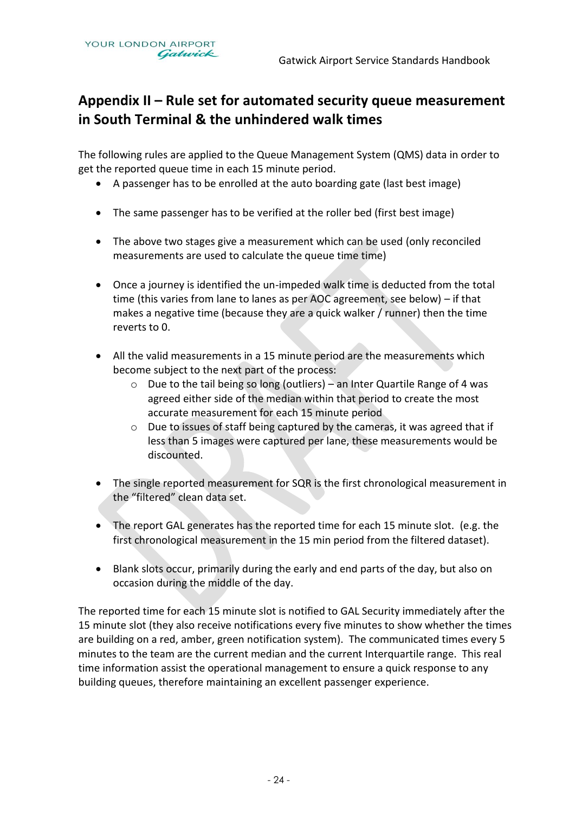## **Appendix II – Rule set for automated security queue measurement in South Terminal & the unhindered walk times**

The following rules are applied to the Queue Management System (QMS) data in order to get the reported queue time in each 15 minute period.

- A passenger has to be enrolled at the auto boarding gate (last best image)
- The same passenger has to be verified at the roller bed (first best image)
- The above two stages give a measurement which can be used (only reconciled measurements are used to calculate the queue time time)
- Once a journey is identified the un-impeded walk time is deducted from the total time (this varies from lane to lanes as per AOC agreement, see below) – if that makes a negative time (because they are a quick walker / runner) then the time reverts to 0.
- All the valid measurements in a 15 minute period are the measurements which become subject to the next part of the process:
	- o Due to the tail being so long (outliers) an Inter Quartile Range of 4 was agreed either side of the median within that period to create the most accurate measurement for each 15 minute period
	- o Due to issues of staff being captured by the cameras, it was agreed that if less than 5 images were captured per lane, these measurements would be discounted.
- The single reported measurement for SQR is the first chronological measurement in the "filtered" clean data set.
- The report GAL generates has the reported time for each 15 minute slot. (e.g. the first chronological measurement in the 15 min period from the filtered dataset).
- Blank slots occur, primarily during the early and end parts of the day, but also on occasion during the middle of the day.

The reported time for each 15 minute slot is notified to GAL Security immediately after the 15 minute slot (they also receive notifications every five minutes to show whether the times are building on a red, amber, green notification system). The communicated times every 5 minutes to the team are the current median and the current Interquartile range. This real time information assist the operational management to ensure a quick response to any building queues, therefore maintaining an excellent passenger experience.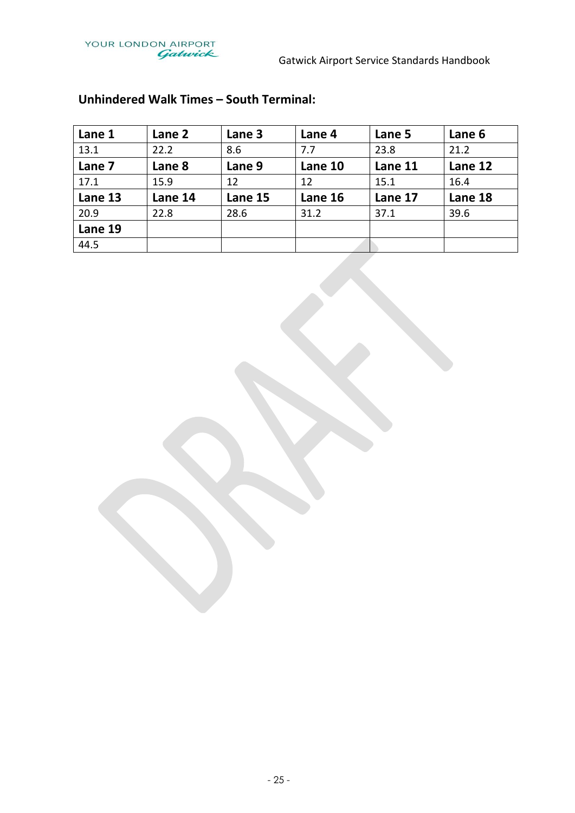

| Lane 1  | Lane 2  | Lane 3  | Lane 4  | Lane 5  | Lane 6  |
|---------|---------|---------|---------|---------|---------|
| 13.1    | 22.2    | 8.6     | 7.7     | 23.8    | 21.2    |
| Lane 7  | Lane 8  | Lane 9  | Lane 10 | Lane 11 | Lane 12 |
| 17.1    | 15.9    | 12      | 12      | 15.1    | 16.4    |
| Lane 13 | Lane 14 | Lane 15 | Lane 16 | Lane 17 | Lane 18 |
| 20.9    | 22.8    | 28.6    | 31.2    | 37.1    | 39.6    |
| Lane 19 |         |         |         |         |         |
| 44.5    |         |         |         |         |         |

## **Unhindered Walk Times – South Terminal:**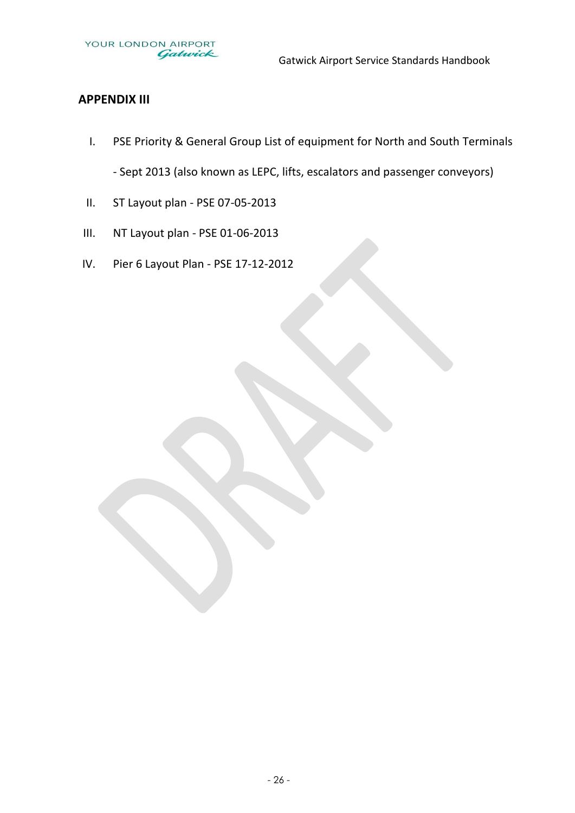### **APPENDIX III**

- I. PSE Priority & General Group List of equipment for North and South Terminals - Sept 2013 (also known as LEPC, lifts, escalators and passenger conveyors)
- II. ST Layout plan PSE 07-05-2013
- III. NT Layout plan PSE 01-06-2013
- IV. Pier 6 Layout Plan PSE 17-12-2012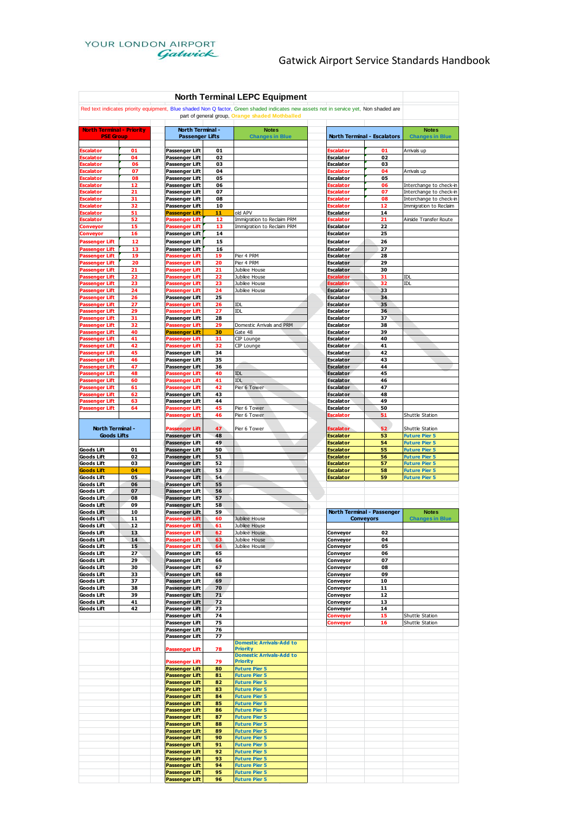| <b>North Terminal LEPC Equipment</b>           |          |                                                |          |                                                                                                                                       |                                      |          |                                                    |
|------------------------------------------------|----------|------------------------------------------------|----------|---------------------------------------------------------------------------------------------------------------------------------------|--------------------------------------|----------|----------------------------------------------------|
|                                                |          |                                                |          | Red text indicates priority equipment, Blue shaded Non Q factor, Green shaded indicates new assets not in service yet, Non shaded are |                                      |          |                                                    |
|                                                |          |                                                |          | part of general group, Orange shaded Mothballed                                                                                       |                                      |          |                                                    |
| <b>North Terminal - Priority</b>               |          | North Terminal -                               |          | <b>Notes</b>                                                                                                                          |                                      |          | <b>Notes</b>                                       |
| <b>PSE Group</b>                               |          | <b>Passenger Lifts</b>                         |          | <b>Changes in Blue</b>                                                                                                                | <b>North Terminal - Escalators</b>   |          | <b>Changes in Blue</b>                             |
| <b>Escalator</b>                               | 01       | <b>Passenger Lift</b>                          | 01       |                                                                                                                                       | scalator:                            | 01       | Arrivals up                                        |
| Escalator<br><b>Escalator</b>                  | 04<br>06 | Passenger Lift<br>Passenger Lift               | 02<br>03 |                                                                                                                                       | Escalator<br>Escalator               | 02<br>03 |                                                    |
| <b>Escalator</b>                               | 07       | Passenger Lift                                 | 04       |                                                                                                                                       | Escalator                            | 04       | Arrivals up                                        |
| <b>Escalator</b><br><b>Escalator</b>           | 08<br>12 | <b>Passenger Lift</b><br><b>Passenger Lift</b> | 05<br>06 |                                                                                                                                       | Escalator<br>Escalator               | 05<br>06 |                                                    |
| Escalator                                      | 21       | Passenger Lift                                 | 07       |                                                                                                                                       | Escalator                            | 07       | Interchange to check-in<br>Interchange to check-in |
| <b>Escalator</b>                               | 31       | <b>Passenger Lift</b>                          | 08       |                                                                                                                                       | Escalator                            | 08       | Interchange to check-in                            |
| <b>Escalator</b><br>Escalator                  | 32<br>51 | Passenger Lift<br><b>Passenger Lift</b>        | 10<br>11 | old APV                                                                                                                               | Escalator<br>Escalator               | 12<br>14 | Immigration to Reclaim                             |
| Escalator                                      | 52       | <b>Passenger Lift</b>                          | 12       | Immigration to Reclaim PRM                                                                                                            | Escalator                            | 21       | Airside Transfer Route                             |
| <b>Conveyor</b>                                | 15       | <b>Passenger Lift</b>                          | 13       | Immigration to Reclaim PRM                                                                                                            | <b>Escalator</b>                     | 22       |                                                    |
| Conveyor<br><b>Passenger Lift</b>              | 16<br>12 | Passenger Lift<br><b>Passenger Lift</b>        | 14<br>15 |                                                                                                                                       | Escalator<br>Escalator               | 25<br>26 |                                                    |
| <b>Passenger Lift</b>                          | 13       | <b>Passenger Lift</b>                          | 16       |                                                                                                                                       | Escalator                            | 27       |                                                    |
| <b>Passenger Lift</b>                          | 19       | <b>Passenger Lift</b>                          | 19       | Pier 4 PRM                                                                                                                            | Escalator                            | 28       |                                                    |
| <b>Passenger Lift</b><br><b>Passenger Lift</b> | 20<br>21 | <b>Passenger Lift</b><br><b>Passenger Lift</b> | 20<br>21 | Pier 4 PRM<br>Jubilee House                                                                                                           | Escalator<br><b>Escalator</b>        | 29<br>30 |                                                    |
| <b>Passenger Lift</b>                          | 22       | <b>Passenger Lift</b>                          | 22       | Jubilee House                                                                                                                         | Escalator                            | 31       | IDL                                                |
| <b>Passenger Lift</b>                          | 23       | <b>Passenger Lift</b>                          | 23       | Jubilee House                                                                                                                         | Escalator                            | 32       | IDL                                                |
| <b>Passenger Lift</b><br><b>Passenger Lift</b> | 24<br>26 | <b>Passenger Lift</b><br><b>Passenger Lift</b> | 24<br>25 | Jubilee House                                                                                                                         | Escalator<br><b>Escalator</b>        | 33<br>34 |                                                    |
| <b>Passenger Lift</b>                          | 27       | <b>Passenger Lift</b>                          | 26       | <b>IDL</b>                                                                                                                            | Escalator                            | 35       |                                                    |
| <b>Passenger Lift</b>                          | 29       | <b>Passenger Lift</b>                          | 27       | IDI                                                                                                                                   | Escalator                            | 36       |                                                    |
| <b>Passenger Lift</b><br><b>Passenger Lift</b> | 31<br>32 | Passenger Lift<br><b>Passenger Lift</b>        | 28<br>29 | Domestic Arrivals and PRM                                                                                                             | Escalator<br><b>Escalator</b>        | 37<br>38 |                                                    |
| <b>Passenger Lift</b>                          | 40       | <b>Passenger Lift</b>                          | 30       | Gate 48                                                                                                                               | Escalator                            | 39       |                                                    |
| <b>Passenger Lift</b>                          | 41       | Passenger Lift                                 | 31       | CIP Lounge                                                                                                                            | Escalator                            | 40       |                                                    |
| <b>Passenger Lift</b><br><b>Passenger Lift</b> | 42<br>45 | Passenger Lift<br>Passenger Lift               | 32<br>34 | CIP Lounge                                                                                                                            | Escalator<br>Escalator               | 41<br>42 |                                                    |
| <b>Passenger Lift</b>                          | 46       | <b>Passenger Lift</b>                          | 35       |                                                                                                                                       | <b>Escalator</b>                     | 43       |                                                    |
| <b>Passenger Lift</b>                          | 47       | Passenger Lift                                 | 36       |                                                                                                                                       | <b>Escalator</b>                     | 44       |                                                    |
| <b>Passenger Lift</b>                          | 48       | <b>Passenger Lift</b>                          | 40<br>41 | IDL                                                                                                                                   | Escalator                            | 45       |                                                    |
| <b>Passenger Lift</b><br><b>Passenger Lift</b> | 60<br>61 | <b>Passenger Lift</b><br><b>Passenger Lift</b> | 42       | IDI<br>Pier 6 Tower                                                                                                                   | Escalator<br>Escalator               | 46<br>47 |                                                    |
| <b>Passenger Lift</b>                          | 62       | <b>Passenger Lift</b>                          | 43       |                                                                                                                                       | <b>Escalator</b>                     | 48       |                                                    |
| <b>Passenger Lift</b>                          | 63       | Passenger Lift                                 | 44<br>45 |                                                                                                                                       | Escalator                            | 49<br>50 |                                                    |
| <b>Passenger Lift</b>                          | 64       | <b>Passenger Lift</b><br><b>Passenger Lift</b> | 46       | Pier 6 Tower<br>Pier 6 Tower                                                                                                          | Escalator<br>Escalator               | 51       | Shuttle Station                                    |
|                                                |          |                                                |          |                                                                                                                                       |                                      |          |                                                    |
| North Terminal -<br><b>Goods Lifts</b>         |          | <b>Passenger Lift</b>                          | 47<br>48 | Pier 6 Tower                                                                                                                          | Escalator<br><b>Escalator</b>        | 52<br>53 | Shuttle Station                                    |
|                                                |          | <b>Passenger Lift</b><br><b>Passenger Lift</b> | 49       |                                                                                                                                       | Escalator                            | 54       | <b>Future Pier 5</b><br><b>Future Pier 5</b>       |
| Goods Lift                                     | 01       | Passenger Lift                                 | 50       |                                                                                                                                       | Escalator                            | 55       | <b>Future Pier 5</b>                               |
| <b>Goods Lift</b><br><b>Goods Lift</b>         | 02<br>03 | <b>Passenger Lift</b>                          | 51<br>52 |                                                                                                                                       | <b>Escalator</b><br><b>Escalator</b> | 56<br>57 | <b>Future Pier 5</b>                               |
| <b>Goods Lift</b>                              | 04       | <b>Passenger Lift</b><br><b>Passenger Lift</b> | 53       |                                                                                                                                       | <b>Escalator</b>                     | 58       | <b>Future Pier 5</b><br><b>Future Pier 5</b>       |
| <b>Goods Lift</b>                              | 05       | <b>Passenger Lift</b>                          | 54       |                                                                                                                                       | <b>Escalator</b>                     | 59       | <b>Future Pier 5</b>                               |
| <b>Goods Lift</b><br><b>Goods Lift</b>         | 06<br>07 | <b>Passenger Lift</b>                          | 55<br>56 |                                                                                                                                       |                                      |          |                                                    |
| Goods Lift                                     | 08       | Passenger Lift<br><b>Passenger Lift</b>        | 57       |                                                                                                                                       |                                      |          |                                                    |
| Goods Lift                                     | 09       | Passenger Lift                                 | 58       |                                                                                                                                       |                                      |          |                                                    |
| <b>Goods Lift</b><br><b>Goods Lift</b>         | 10<br>11 | <b>Passenger Lift</b>                          | 59<br>60 |                                                                                                                                       | North Terminal - Passenger           |          | <b>Notes</b>                                       |
| Goods Lift                                     | 12       | <b>Passenger Lift</b><br><b>Passenger Lift</b> | 61       | Jubilee House<br>Jubilee House                                                                                                        | Conveyors                            |          | <b>Changes in Blue</b>                             |
| <b>Goods Lift</b>                              | 13       | <b>Passenger Lift</b>                          | 62       | Jubilee House                                                                                                                         | Conveyor                             | 02       |                                                    |
| <b>Goods Lift</b>                              | 14<br>15 | <b>Passenger Lift</b>                          | 63<br>64 | Jubilee House<br>Jubilee House                                                                                                        | Conveyor                             | 04<br>05 |                                                    |
| <b>Goods Lift</b><br>Goods Lift                | 27       | <b>Passenger Lift</b><br>Passenger Lift        | 65       |                                                                                                                                       | Conveyor<br>Conveyor                 | 06       |                                                    |
| <b>Goods Lift</b>                              | 29       | <b>Passenger Lift</b>                          | 66       |                                                                                                                                       | Conveyor                             | 07       |                                                    |
| <b>Goods Lift</b>                              | 30       | Passenger Lift                                 | 67       |                                                                                                                                       | Conveyor                             | 08       |                                                    |
| <b>Goods Lift</b><br><b>Goods Lift</b>         | 33<br>37 | Passenger Lift<br><b>Passenger Lift</b>        | 68<br>69 |                                                                                                                                       | Conveyor<br>Conveyor                 | 09<br>10 |                                                    |
| Goods Lift                                     | 38       | <b>Passenger Lift</b>                          | 70       |                                                                                                                                       | Conveyor                             | 11       |                                                    |
| <b>Goods Lift</b><br><b>Goods Lift</b>         | 39<br>41 | <b>Passenger Lift</b><br><b>Passenger Lift</b> | 71<br>72 |                                                                                                                                       | Conveyor<br>Conveyor                 | 12<br>13 |                                                    |
| <b>Goods Lift</b>                              | 42       | <b>Passenger Lift</b>                          | 73       |                                                                                                                                       | Conveyor                             | 14       |                                                    |
|                                                |          | Passenger Lift                                 | 74       |                                                                                                                                       | Conveyor                             | 15       | Shuttle Station                                    |
|                                                |          | Passenger Lift<br>Passenger Lift               | 75<br>76 |                                                                                                                                       | Conveyor                             | 16       | Shuttle Station                                    |
|                                                |          | Passenger Lift                                 | 77       |                                                                                                                                       |                                      |          |                                                    |
|                                                |          |                                                |          | <b>Domestic Arrivals-Add to</b>                                                                                                       |                                      |          |                                                    |
|                                                |          | <b>Passenger Lift</b>                          | 78       | <b>Priority</b><br><b>Domestic Arrivals-Add to</b>                                                                                    |                                      |          |                                                    |
|                                                |          | <b>Passenger Lift</b>                          | 79       | <b>Priority</b>                                                                                                                       |                                      |          |                                                    |
|                                                |          | <b>Passenger Lift</b><br><b>Passenger Lift</b> | 80<br>81 | <b>Future Pier 5</b><br><b>Future Pier 5</b>                                                                                          |                                      |          |                                                    |
|                                                |          | <b>Passenger Lift</b>                          | 82       | <b>Future Pier 5</b>                                                                                                                  |                                      |          |                                                    |
|                                                |          | <b>Passenger Lift</b>                          | 83       | <b>Future Pier 5</b>                                                                                                                  |                                      |          |                                                    |
|                                                |          | <b>Passenger Lift</b><br><b>Passenger Lift</b> | 84<br>85 | <b>Future Pier 5</b><br><b>Future Pier 5</b>                                                                                          |                                      |          |                                                    |
|                                                |          | <b>Passenger Lift</b>                          | 86       | <b>Future Pier 5</b>                                                                                                                  |                                      |          |                                                    |
|                                                |          | <b>Passenger Lift</b>                          | 87       | <b>Future Pier 5</b>                                                                                                                  |                                      |          |                                                    |
|                                                |          | <b>Passenger Lift</b><br><b>Passenger Lift</b> | 88<br>89 | <b>Future Pier 5</b>                                                                                                                  |                                      |          |                                                    |
|                                                |          | <b>Passenger Lift</b>                          | 90       | <b>Future Pier 5</b><br><b>Future Pier 5</b>                                                                                          |                                      |          |                                                    |
|                                                |          | <b>Passenger Lift</b>                          | 91       | <b>Future Pier 5</b>                                                                                                                  |                                      |          |                                                    |
|                                                |          | <b>Passenger Lift</b>                          | 92       | <b>Future Pier 5</b>                                                                                                                  |                                      |          |                                                    |
|                                                |          | <b>Passenger Lift</b><br><b>Passenger Lift</b> | 93<br>94 | <b>Future Pier 5</b><br><b>Future Pier 5</b>                                                                                          |                                      |          |                                                    |
|                                                |          | <b>Passenger Lift</b>                          | 95       | <b>Future Pier 5</b>                                                                                                                  |                                      |          |                                                    |
|                                                |          | <b>Passenger Lift</b>                          | 96       | <b>Future Pier 5</b>                                                                                                                  |                                      |          |                                                    |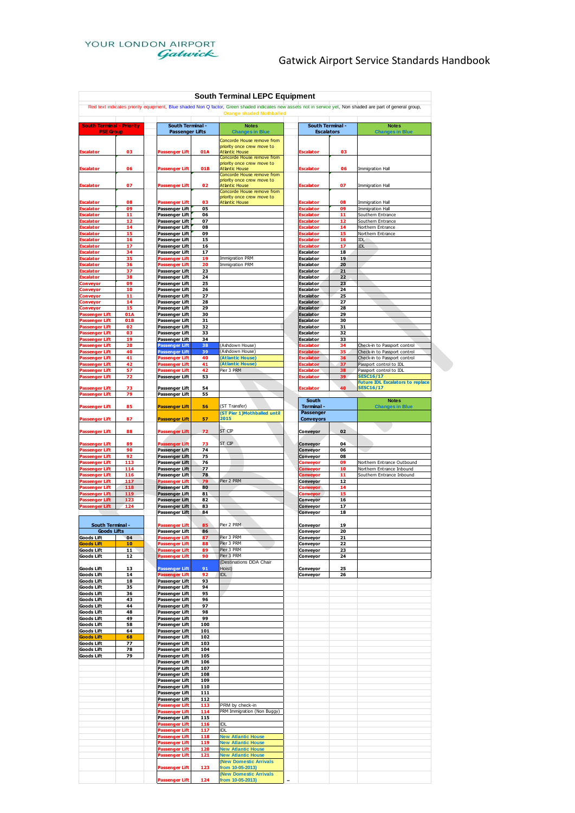

### Gatwick Airport Service Standards Handbook

|                                                                                                                                                              |            |                                                |            | <b>South Terminal LEPC Equipment</b>                                              |  |                                      |          |                                                             |
|--------------------------------------------------------------------------------------------------------------------------------------------------------------|------------|------------------------------------------------|------------|-----------------------------------------------------------------------------------|--|--------------------------------------|----------|-------------------------------------------------------------|
| Red text indicates priority equipment, Blue shaded Non Q factor, Green shaded indicates new assets not in service yet, Non shaded are part of general group, |            |                                                |            |                                                                                   |  |                                      |          |                                                             |
|                                                                                                                                                              |            | <b>South Terminal -</b>                        |            | <b>Orange shaded Mothballed</b><br><b>South Terminal -</b>                        |  |                                      |          |                                                             |
| <b>South Terminal - Priority</b><br><b>PSE Group</b>                                                                                                         |            | <b>Passenger Lifts</b>                         |            | <b>Notes</b><br><b>Changes in Blue</b>                                            |  | <b>Escalators</b>                    |          | <b>Notes</b><br><b>Changes in Blue</b>                      |
| <b>Escalator</b>                                                                                                                                             | 03         | Passenger Lift                                 | 01A        | Concorde House remove from<br>priority once crew move to<br><b>Atlantic House</b> |  | <b>Escalator</b>                     | 03       |                                                             |
| scalator                                                                                                                                                     | 06         | assenger Lift                                  | 01B        | Concorde House remove from<br>priority once crew move to<br><b>Atlantic House</b> |  | :scalator                            | 06       | Immigration Hall                                            |
| Escalator                                                                                                                                                    | 07         | Passenger Lift                                 | 02         | Concorde House remove from<br>priority once crew move to<br><b>Atlantic House</b> |  | Escalator                            | 07       | Immigration Hall                                            |
| Escalator                                                                                                                                                    | 08         | Passenger Lift                                 | 03         | Concorde House remove from<br>priority once crew move to<br><b>Atlantic House</b> |  | <b>iscalator</b>                     | 08       | Immigration Hall                                            |
| alator                                                                                                                                                       | 09         | <b>Passenger Lift</b>                          | 05         |                                                                                   |  | ralator                              | 09       | Immigration Hall                                            |
| alator<br>:scalator                                                                                                                                          | 11<br>12   | Passenger Lift<br>Passenger Lift               | 06<br>07   |                                                                                   |  | alator<br>Escalator                  | 11<br>12 | Southern Entrance<br>Southern Entrance                      |
| <b>Escalator</b>                                                                                                                                             | 14         | Passenger Lift                                 | 08         |                                                                                   |  | Escalator                            | 14       | Northern Entrance                                           |
| :scalator<br><b>iscalator</b>                                                                                                                                | 15<br>16   | Passenger Lift<br>Passenger Lift               | 09<br>15   |                                                                                   |  | :scalator<br><b>Escalator</b>        | 15<br>16 | Northern Entrance<br>IDL                                    |
| scalator                                                                                                                                                     | 17         | Passenger Lift                                 | 16         |                                                                                   |  | :scalator                            | 17       | <b>IDL</b>                                                  |
| calator                                                                                                                                                      | 34         | Passenger Lift                                 | 17         |                                                                                   |  | Escalator                            | 18       |                                                             |
| scalator<br><b>scalator</b>                                                                                                                                  | 35<br>36   | Passenger Lift<br>Passenger Lift               | 19<br>20   | <b>Immigration PRM</b><br><b>Immigration PRM</b>                                  |  | <b>Escalator</b><br><b>Escalator</b> | 19<br>20 |                                                             |
| <b>Escalator</b>                                                                                                                                             | 37         | Passenger Lift                                 | 23         |                                                                                   |  | <b>Escalator</b>                     | 21       |                                                             |
| scalator:<br>Conveyor                                                                                                                                        | 38<br>09   | Passenger Lift<br>Passenger Lift               | 24<br>25   |                                                                                   |  | <b>Escalator</b><br><b>Escalator</b> | 22<br>23 |                                                             |
| Conveyor.                                                                                                                                                    | 10         | Passenger Lift                                 | 26         |                                                                                   |  | <b>Escalator</b>                     | 24       |                                                             |
| onveyor:                                                                                                                                                     | 11<br>14   | Passenger Lift<br>Passenger Lift               | 27<br>28   |                                                                                   |  | <b>Escalator</b><br>Escalator        | 25<br>27 |                                                             |
| Conveyor<br>Conveyor                                                                                                                                         | 15         | Passenger Lift                                 | 29         |                                                                                   |  | <b>Escalator</b>                     | 28       |                                                             |
| <b>Passenger Lift</b>                                                                                                                                        | 01A        | Passenger Lift                                 | 30         |                                                                                   |  | <b>Escalator</b>                     | 29       |                                                             |
| <b>Passenger Lift</b><br><b>Passenger Lift</b>                                                                                                               | 01B<br>02  | Passenger Lift<br>Passenger Lift               | 31<br>32   |                                                                                   |  | <b>Escalator</b><br><b>Escalator</b> | 30<br>31 |                                                             |
| Passenger Lift                                                                                                                                               | 03         | Passenger Lift                                 | 33         |                                                                                   |  | <b>Escalator</b>                     | 32       |                                                             |
| <b>Passenger Lift</b><br><b>Passenger Lift</b>                                                                                                               | 19<br>20   | Passenger Lift<br><b>Passenger Lift</b>        | 34<br>38   | (Ashdown House)                                                                   |  | <b>Escalator</b><br>Escalator        | 33<br>34 | Check-in to Passport control                                |
| <b>Passenger Lift</b>                                                                                                                                        | 40         | <b>Passenger Lift</b>                          | 39         | Ashdown House)                                                                    |  | <b>scalator</b>                      | 35       | Check-in to Passport control                                |
| <b>Passenger Lift</b>                                                                                                                                        | 41<br>42   | <b>Passenger Lift</b>                          | 40<br>41   | (Atlantic House)<br>(Atlantic House)                                              |  | <b>Escalator</b><br>scalator:        | 36<br>37 | Check-in to Passport control                                |
| Passenger Lift<br>Passenger Lift                                                                                                                             | 57         | <b>Passenger Lift</b><br>Passenger Lift        | 42         | Pier 3 PRM                                                                        |  | <b>Escalator</b>                     | 38       | Passport control to IDL<br>Passport control to IDL          |
| Passenger Lift                                                                                                                                               | 72         | <b>Passenger Lift</b>                          | 53         |                                                                                   |  | scalator:                            | 39       | <b>SESC16/17</b>                                            |
| Passenger Lift<br>assenger Lift                                                                                                                              | 73<br>79   | Passenger Lift<br>Passenger Lift               | 54<br>55   |                                                                                   |  | <b>Escalator</b>                     | 40       | <b>Future IDL Escalators to replace</b><br><b>SESC16/17</b> |
| <b>Passenger Lift</b>                                                                                                                                        | 85         | <b>Passenger Lift</b>                          | 56         | (ST Transfer)<br>(ST Pier 1) Mothballed until                                     |  | South<br>Terminal -<br>Passenger     |          | <b>Notes</b><br><b>Changes in Blue</b>                      |
| <b>Passenger Lift</b>                                                                                                                                        | 87         | <b>Passenger Lift</b>                          | 57         | 2015                                                                              |  | <b>Conveyors</b>                     |          |                                                             |
| <b>Passenger Lift</b>                                                                                                                                        | 88         | Passenger Lift                                 | 72         | ST CIP                                                                            |  | Conveyor                             | 02       |                                                             |
| <b>Passenger Lift</b><br><b>Passenger Lift</b>                                                                                                               | 89<br>90   | <b>Passenger Lift</b><br><b>Passenger Lift</b> | 73<br>74   | ST CIP                                                                            |  | Conveyor<br>Conveyor                 | 04<br>06 |                                                             |
| <b>Passenger Lift</b>                                                                                                                                        | 92         | Passenger Lift                                 | 75         |                                                                                   |  | Conveyor                             | 08       |                                                             |
| <b>Passenger Lift</b><br><b>Passenger Lift</b>                                                                                                               | 113<br>114 | Passenger Lift<br><b>Passenger Lift</b>        | 76<br>77   |                                                                                   |  | Conveyor<br><b>Conveyor</b>          | 09<br>10 | Northern Entrance Outbound<br>Northern Entrance Inbound     |
| Passenger Lift                                                                                                                                               | 116        | <b>Passenger Lift</b>                          | 78         |                                                                                   |  | <b>Conveyor</b>                      | 11       | Southern Entrance Inbound                                   |
| <b>Passenger Lift</b>                                                                                                                                        | 117<br>118 | Passenger Lift                                 | 79<br>80   | Pier 2 PRM                                                                        |  | Conveyor                             | 12       |                                                             |
| <b>Passenger Lift</b><br><b>Passenger Lift</b>                                                                                                               | 119        | Passenger Lift<br><b>Passenger Lift</b>        | 81         |                                                                                   |  | Conveyor<br><b>Conveyor</b>          | 14<br>15 |                                                             |
| <b>Passenger Lift</b>                                                                                                                                        | 123        | Passenger Lift                                 | 82         |                                                                                   |  | Conveyor                             | 16       |                                                             |
| <b>Passenger Lift</b>                                                                                                                                        | 124        | <b>Passenger Lift</b><br><b>Passenger Lift</b> | 83<br>84   |                                                                                   |  | Conveyor<br>Conveyor                 | 17<br>18 |                                                             |
| South Terminal -                                                                                                                                             |            | Passenger Lift                                 | 85         | Pier 2 PRM                                                                        |  | Conveyor                             | 19       |                                                             |
| <b>Goods Lifts</b>                                                                                                                                           |            | Passenger Lift                                 | 86         | Pier 3 PRM                                                                        |  | Conveyor                             | 20       |                                                             |
| <b>Goods Lift</b><br>Goods Lift                                                                                                                              | 04<br>10   | <b>Passenger Lift</b><br><b>Passenger Lift</b> | 87<br>88   | Pier 3 PRM                                                                        |  | Conveyor<br>Conveyor                 | 21<br>22 |                                                             |
| <b>Goods Lift</b>                                                                                                                                            | 11         | Passenger Lift                                 | 89         | Pier 3 PRM                                                                        |  | Conveyor                             | 23       |                                                             |
| <b>Goods Lift</b>                                                                                                                                            | 12         | assenger Lift                                  | 90         | Pier 3 PRM<br>(Destinations DDA Chair                                             |  | <b>Conveyor</b>                      | 24       |                                                             |
| <b>Goods Lift</b>                                                                                                                                            | 13         | <b>Passenger Lift</b>                          | 91         | Hoist)                                                                            |  | Conveyor                             | 25       |                                                             |
| Goods Lift<br>Goods Lift                                                                                                                                     | 14<br>18   | Passenger Lift<br>Passenger Lift               | 92<br>93   | IDL                                                                               |  | Conveyor                             | 26       |                                                             |
| <b>Goods Lift</b>                                                                                                                                            | 35         | Passenger Lift                                 | 94         |                                                                                   |  |                                      |          |                                                             |
| <b>Goods Lift</b><br>Goods Lift                                                                                                                              | 36<br>43   | <b>Passenger Lift</b><br>Passenger Lift        | 95<br>96   |                                                                                   |  |                                      |          |                                                             |
| <b>Goods Lift</b>                                                                                                                                            | 44         | Passenger Lift                                 | 97         |                                                                                   |  |                                      |          |                                                             |
| <b>Goods Lift</b><br>Goods Lift                                                                                                                              | 48<br>49   | Passenger Lift<br>Passenger Lift               | 98<br>99   |                                                                                   |  |                                      |          |                                                             |
| Goods Lift                                                                                                                                                   | 58         | Passenger Lift                                 | 100        |                                                                                   |  |                                      |          |                                                             |
| <b>Goods Lift</b>                                                                                                                                            | 64         | Passenger Lift                                 | 101        |                                                                                   |  |                                      |          |                                                             |
| <b>Goods Lift</b><br>Goods Lift                                                                                                                              | 68<br>77   | Passenger Lift<br>Passenger Lift               | 102<br>103 |                                                                                   |  |                                      |          |                                                             |
| Goods Lift                                                                                                                                                   | 78         | Passenger Lift                                 | 104        |                                                                                   |  |                                      |          |                                                             |
| <b>Goods Lift</b>                                                                                                                                            | 79         | Passenger Lift<br>Passenger Lift               | 105<br>106 |                                                                                   |  |                                      |          |                                                             |
|                                                                                                                                                              |            | Passenger Lift                                 | 107        |                                                                                   |  |                                      |          |                                                             |
|                                                                                                                                                              |            | Passenger Lift                                 | 108        |                                                                                   |  |                                      |          |                                                             |
|                                                                                                                                                              |            | Passenger Lift<br>Passenger Lift               | 109<br>110 |                                                                                   |  |                                      |          |                                                             |
|                                                                                                                                                              |            | Passenger Lift                                 | 111        |                                                                                   |  |                                      |          |                                                             |
|                                                                                                                                                              |            | Passenger Lift<br><b>Passenger Lift</b>        | 112<br>113 | PRM by check-in                                                                   |  |                                      |          |                                                             |
|                                                                                                                                                              |            | <b>Passenger Lift</b>                          | 114        | PRM Immigration (Non Buggy)                                                       |  |                                      |          |                                                             |
|                                                                                                                                                              |            | Passenger Lift<br>Passenger Lift               | 115<br>116 | <b>IDL</b>                                                                        |  |                                      |          |                                                             |
|                                                                                                                                                              |            | Passenger Lift                                 | 117        | <b>IDL</b>                                                                        |  |                                      |          |                                                             |
|                                                                                                                                                              |            | Passenger Lift                                 | 118        | <b>New Atlantic House</b><br><b>New Atlantic House</b>                            |  |                                      |          |                                                             |
|                                                                                                                                                              |            | Passenger Lift<br>Passenger Lift               | 119<br>120 | <b>New Atlantic House</b>                                                         |  |                                      |          |                                                             |
|                                                                                                                                                              |            | <b>Passenger Lift</b>                          | 121        | <b>New Atlantic House</b><br><b>(New Domestic Arrivals</b>                        |  |                                      |          |                                                             |
|                                                                                                                                                              |            | <u>Passenger Lift</u>                          | 123        | from 10-05-2013)<br><b>(New Domestic Arrivals</b>                                 |  |                                      |          |                                                             |
|                                                                                                                                                              |            | Passenger Lift                                 | 124        | from 10-05-2013)                                                                  |  |                                      |          |                                                             |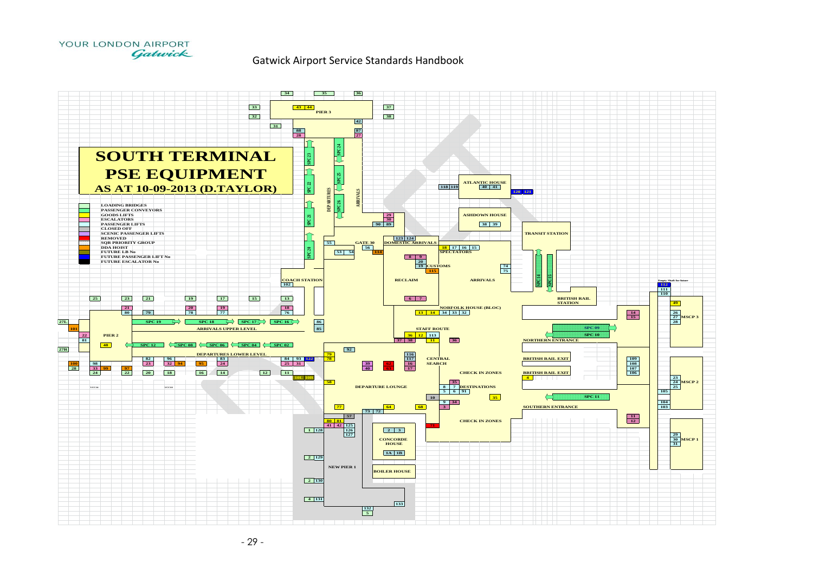

#### Gatwick Airport Service Standards Handbook

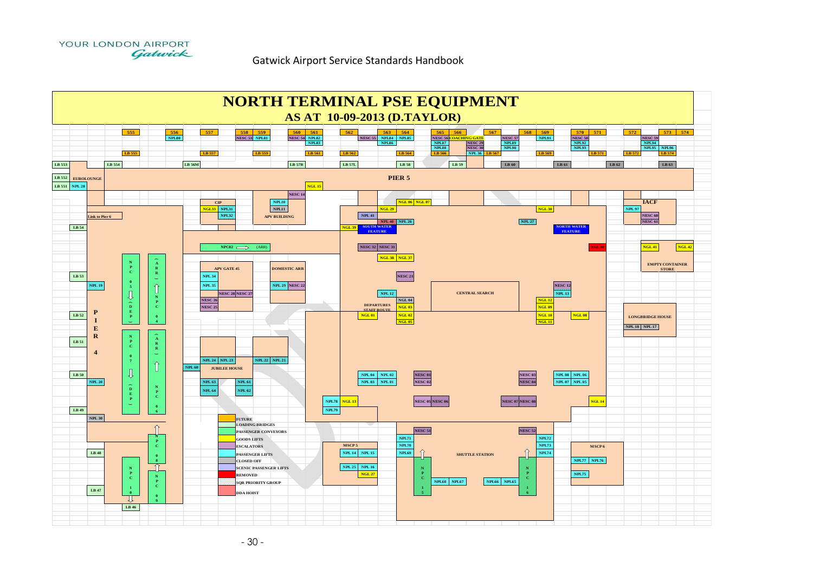



- 30 -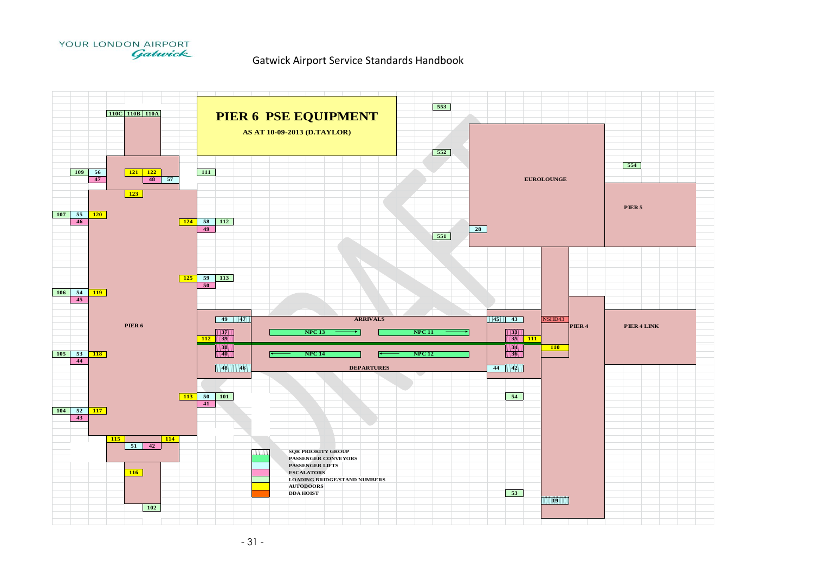

#### Gatwick Airport Service Standards Handbook

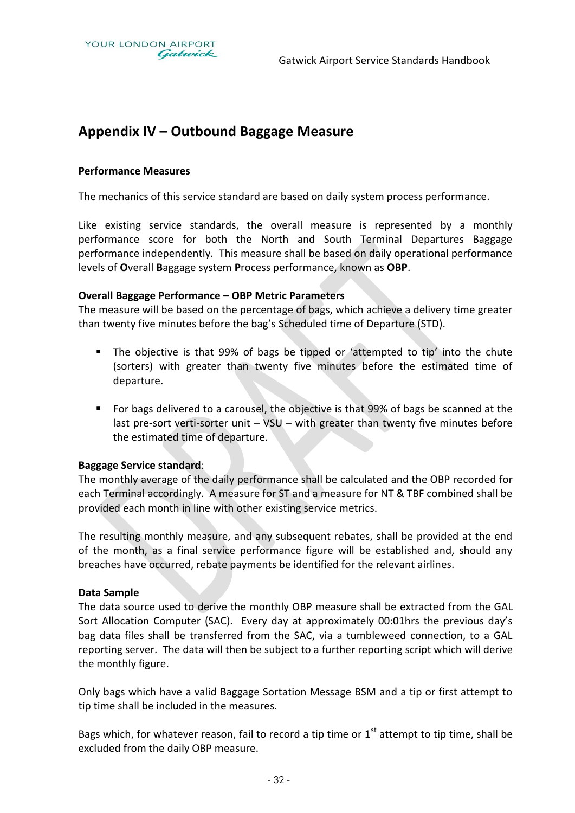## **Appendix IV – Outbound Baggage Measure**

#### **Performance Measures**

The mechanics of this service standard are based on daily system process performance.

Like existing service standards, the overall measure is represented by a monthly performance score for both the North and South Terminal Departures Baggage performance independently. This measure shall be based on daily operational performance levels of **O**verall **B**aggage system **P**rocess performance, known as **OBP**.

#### **Overall Baggage Performance – OBP Metric Parameters**

The measure will be based on the percentage of bags, which achieve a delivery time greater than twenty five minutes before the bag's Scheduled time of Departure (STD).

- The objective is that 99% of bags be tipped or 'attempted to tip' into the chute (sorters) with greater than twenty five minutes before the estimated time of departure.
- **For bags delivered to a carousel, the objective is that 99% of bags be scanned at the** last pre-sort verti-sorter unit – VSU – with greater than twenty five minutes before the estimated time of departure.

#### **Baggage Service standard**:

The monthly average of the daily performance shall be calculated and the OBP recorded for each Terminal accordingly. A measure for ST and a measure for NT & TBF combined shall be provided each month in line with other existing service metrics.

The resulting monthly measure, and any subsequent rebates, shall be provided at the end of the month, as a final service performance figure will be established and, should any breaches have occurred, rebate payments be identified for the relevant airlines.

#### **Data Sample**

The data source used to derive the monthly OBP measure shall be extracted from the GAL Sort Allocation Computer (SAC). Every day at approximately 00:01hrs the previous day's bag data files shall be transferred from the SAC, via a tumbleweed connection, to a GAL reporting server. The data will then be subject to a further reporting script which will derive the monthly figure.

Only bags which have a valid Baggage Sortation Message BSM and a tip or first attempt to tip time shall be included in the measures.

Bags which, for whatever reason, fail to record a tip time or  $1<sup>st</sup>$  attempt to tip time, shall be excluded from the daily OBP measure.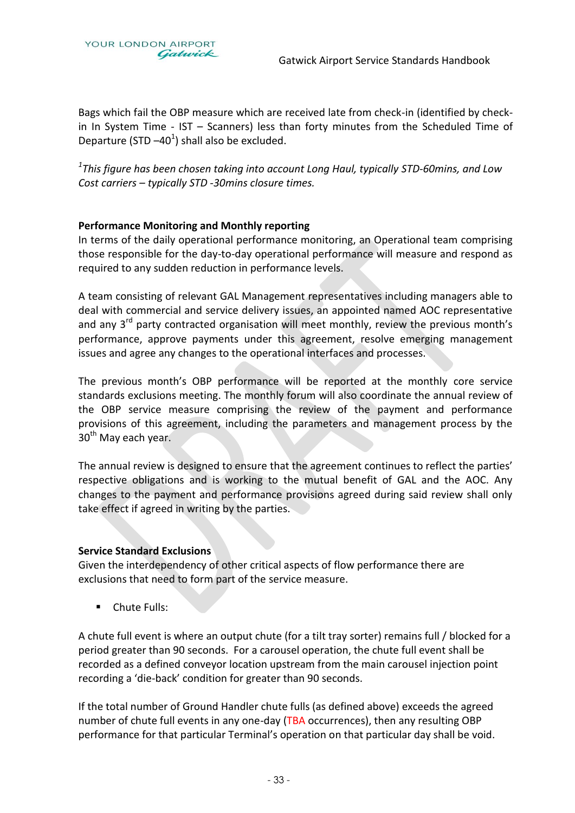YOUR LONDON AIRPORT Gatwick

Bags which fail the OBP measure which are received late from check-in (identified by checkin In System Time - IST – Scanners) less than forty minutes from the Scheduled Time of Departure (STD  $-40<sup>1</sup>$ ) shall also be excluded.

*1 This figure has been chosen taking into account Long Haul, typically STD-60mins, and Low Cost carriers – typically STD -30mins closure times.* 

#### **Performance Monitoring and Monthly reporting**

In terms of the daily operational performance monitoring, an Operational team comprising those responsible for the day-to-day operational performance will measure and respond as required to any sudden reduction in performance levels.

A team consisting of relevant GAL Management representatives including managers able to deal with commercial and service delivery issues, an appointed named AOC representative and any  $3<sup>rd</sup>$  party contracted organisation will meet monthly, review the previous month's performance, approve payments under this agreement, resolve emerging management issues and agree any changes to the operational interfaces and processes.

The previous month's OBP performance will be reported at the monthly core service standards exclusions meeting. The monthly forum will also coordinate the annual review of the OBP service measure comprising the review of the payment and performance provisions of this agreement, including the parameters and management process by the 30<sup>th</sup> May each year.

The annual review is designed to ensure that the agreement continues to reflect the parties' respective obligations and is working to the mutual benefit of GAL and the AOC. Any changes to the payment and performance provisions agreed during said review shall only take effect if agreed in writing by the parties.

#### **Service Standard Exclusions**

Given the interdependency of other critical aspects of flow performance there are exclusions that need to form part of the service measure.

**Chute Fulls:** 

A chute full event is where an output chute (for a tilt tray sorter) remains full / blocked for a period greater than 90 seconds. For a carousel operation, the chute full event shall be recorded as a defined conveyor location upstream from the main carousel injection point recording a 'die-back' condition for greater than 90 seconds.

If the total number of Ground Handler chute fulls (as defined above) exceeds the agreed number of chute full events in any one-day (TBA occurrences), then any resulting OBP performance for that particular Terminal's operation on that particular day shall be void.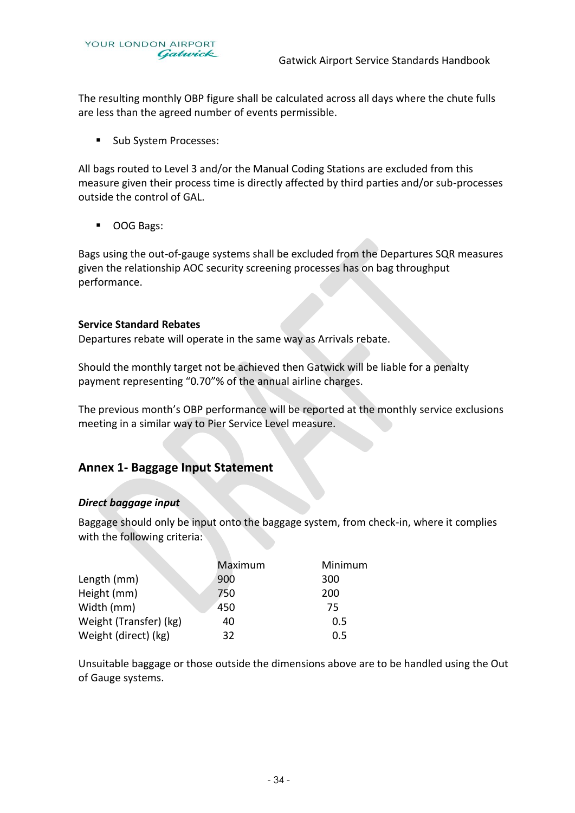The resulting monthly OBP figure shall be calculated across all days where the chute fulls are less than the agreed number of events permissible.

**Sub System Processes:** 

All bags routed to Level 3 and/or the Manual Coding Stations are excluded from this measure given their process time is directly affected by third parties and/or sub-processes outside the control of GAL.

■ OOG Bags:

Bags using the out-of-gauge systems shall be excluded from the Departures SQR measures given the relationship AOC security screening processes has on bag throughput performance.

#### **Service Standard Rebates**

Departures rebate will operate in the same way as Arrivals rebate.

Should the monthly target not be achieved then Gatwick will be liable for a penalty payment representing "0.70"% of the annual airline charges.

The previous month's OBP performance will be reported at the monthly service exclusions meeting in a similar way to Pier Service Level measure.

### **Annex 1- Baggage Input Statement**

#### *Direct baggage input*

Baggage should only be input onto the baggage system, from check-in, where it complies with the following criteria:

|                        | Maximum | Minimum |
|------------------------|---------|---------|
| Length (mm)            | 900     | 300     |
| Height (mm)            | 750     | 200     |
| Width (mm)             | 450     | 75      |
| Weight (Transfer) (kg) | 40      | 0.5     |
| Weight (direct) (kg)   | 32      | 0.5     |

Unsuitable baggage or those outside the dimensions above are to be handled using the Out of Gauge systems.